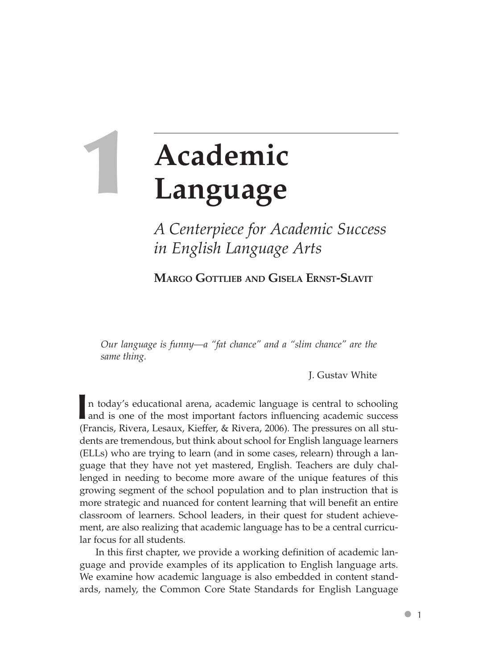# 1 **Academic Language**

*A Centerpiece for Academic Success in English Language Arts*

**Margo Gottlieb and Gisela Ernst-Slavit**

*Our language is funny—a "fat chance" and a "slim chance" are the same thing.*

J. Gustav White

In today's educational arena, academic language is central to schooling and is one of the most important factors influencing academic success n today's educational arena, academic language is central to schooling (Francis, Rivera, Lesaux, Kieffer, & Rivera, 2006). The pressures on all students are tremendous, but think about school for English language learners (ELLs) who are trying to learn (and in some cases, relearn) through a language that they have not yet mastered, English. Teachers are duly challenged in needing to become more aware of the unique features of this growing segment of the school population and to plan instruction that is more strategic and nuanced for content learning that will benefit an entire classroom of learners. School leaders, in their quest for student achievement, are also realizing that academic language has to be a central curricular focus for all students.

In this first chapter, we provide a working definition of academic language and provide examples of its application to English language arts. We examine how academic language is also embedded in content standards, namely, the Common Core State Standards for English Language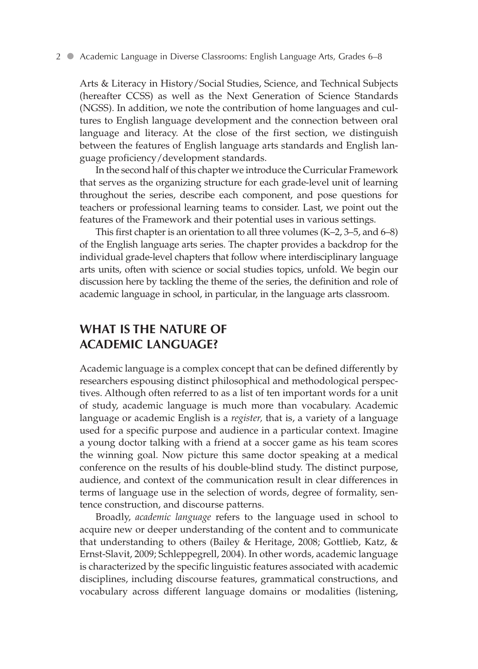Arts & Literacy in History/Social Studies, Science, and Technical Subjects (hereafter CCSS) as well as the Next Generation of Science Standards (NGSS). In addition, we note the contribution of home languages and cultures to English language development and the connection between oral language and literacy. At the close of the first section, we distinguish between the features of English language arts standards and English language proficiency/development standards.

In the second half of this chapter we introduce the Curricular Framework that serves as the organizing structure for each grade-level unit of learning throughout the series, describe each component, and pose questions for teachers or professional learning teams to consider. Last, we point out the features of the Framework and their potential uses in various settings.

This first chapter is an orientation to all three volumes  $(K-2, 3-5,$  and  $6-8)$ of the English language arts series. The chapter provides a backdrop for the individual grade-level chapters that follow where interdisciplinary language arts units, often with science or social studies topics, unfold. We begin our discussion here by tackling the theme of the series, the definition and role of academic language in school, in particular, in the language arts classroom.

### **WHAT IS THE NATURE OF ACADEMIC LANGUAGE?**

Academic language is a complex concept that can be defined differently by researchers espousing distinct philosophical and methodological perspectives. Although often referred to as a list of ten important words for a unit of study, academic language is much more than vocabulary. Academic language or academic English is a *register,* that is, a variety of a language used for a specific purpose and audience in a particular context. Imagine a young doctor talking with a friend at a soccer game as his team scores the winning goal. Now picture this same doctor speaking at a medical conference on the results of his double-blind study. The distinct purpose, audience, and context of the communication result in clear differences in terms of language use in the selection of words, degree of formality, sentence construction, and discourse patterns.

Broadly, *academic language* refers to the language used in school to acquire new or deeper understanding of the content and to communicate that understanding to others (Bailey & Heritage, 2008; Gottlieb, Katz, & Ernst-Slavit, 2009; Schleppegrell, 2004). In other words, academic language is characterized by the specific linguistic features associated with academic disciplines, including discourse features, grammatical constructions, and vocabulary across different language domains or modalities (listening,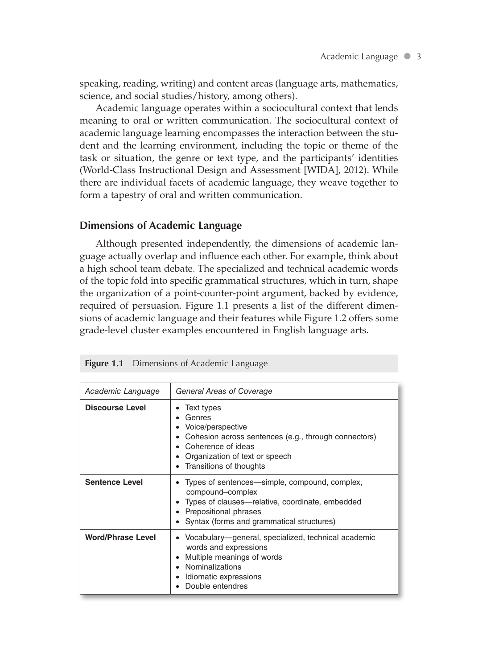speaking, reading, writing) and content areas (language arts, mathematics, science, and social studies/history, among others).

Academic language operates within a sociocultural context that lends meaning to oral or written communication. The sociocultural context of academic language learning encompasses the interaction between the student and the learning environment, including the topic or theme of the task or situation, the genre or text type, and the participants' identities (World-Class Instructional Design and Assessment [WIDA], 2012). While there are individual facets of academic language, they weave together to form a tapestry of oral and written communication.

#### **Dimensions of Academic Language**

Although presented independently, the dimensions of academic language actually overlap and influence each other. For example, think about a high school team debate. The specialized and technical academic words of the topic fold into specific grammatical structures, which in turn, shape the organization of a point-counter-point argument, backed by evidence, required of persuasion. Figure 1.1 presents a list of the different dimensions of academic language and their features while Figure 1.2 offers some grade-level cluster examples encountered in English language arts.

| Academic Language        | General Areas of Coverage                                                                                                                                                                  |
|--------------------------|--------------------------------------------------------------------------------------------------------------------------------------------------------------------------------------------|
| <b>Discourse Level</b>   | Text types<br>Genres<br>Voice/perspective<br>Cohesion across sentences (e.g., through connectors)<br>• Coherence of ideas<br>Organization of text or speech<br>• Transitions of thoughts   |
| <b>Sentence Level</b>    | Types of sentences—simple, compound, complex,<br>compound-complex<br>Types of clauses—relative, coordinate, embedded<br>Prepositional phrases<br>Syntax (forms and grammatical structures) |
| <b>Word/Phrase Level</b> | Vocabulary—general, specialized, technical academic<br>words and expressions<br>Multiple meanings of words<br>• Nominalizations<br>Idiomatic expressions<br>Double entendres               |

| Figure 1.1 |  | Dimensions of Academic Language |  |
|------------|--|---------------------------------|--|
|------------|--|---------------------------------|--|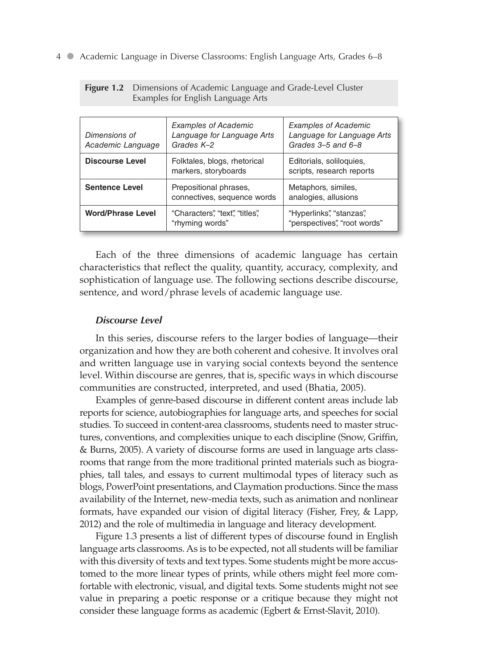| Dimensions of<br>Academic Language | <b>Examples of Academic</b><br>Language for Language Arts<br>Grades K-2 | <b>Examples of Academic</b><br>Language for Language Arts<br>Grades $3-5$ and $6-8$ |
|------------------------------------|-------------------------------------------------------------------------|-------------------------------------------------------------------------------------|
| <b>Discourse Level</b>             | Folktales, blogs, rhetorical<br>markers, storyboards                    | Editorials, soliloquies,<br>scripts, research reports                               |
| <b>Sentence Level</b>              | Prepositional phrases,<br>connectives, sequence words                   | Metaphors, similes,<br>analogies, allusions                                         |
| <b>Word/Phrase Level</b>           | "Characters", "text", "titles",<br>"rhyming words"                      | "Hyperlinks", "stanzas",<br>"perspectives", "root words"                            |

| Figure 1.2 Dimensions of Academic Language and Grade-Level Cluster |
|--------------------------------------------------------------------|
| Examples for English Language Arts                                 |

Each of the three dimensions of academic language has certain characteristics that reflect the quality, quantity, accuracy, complexity, and sophistication of language use. The following sections describe discourse, sentence, and word/phrase levels of academic language use.

#### *Discourse Level*

In this series, discourse refers to the larger bodies of language—their organization and how they are both coherent and cohesive. It involves oral and written language use in varying social contexts beyond the sentence level. Within discourse are genres, that is, specific ways in which discourse communities are constructed, interpreted, and used (Bhatia, 2005).

Examples of genre-based discourse in different content areas include lab reports for science, autobiographies for language arts, and speeches for social studies. To succeed in content-area classrooms, students need to master structures, conventions, and complexities unique to each discipline (Snow, Griffin, & Burns, 2005). A variety of discourse forms are used in language arts classrooms that range from the more traditional printed materials such as biographies, tall tales, and essays to current multimodal types of literacy such as blogs, PowerPoint presentations, and Claymation productions. Since the mass availability of the Internet, new-media texts, such as animation and nonlinear formats, have expanded our vision of digital literacy (Fisher, Frey, & Lapp, 2012) and the role of multimedia in language and literacy development.

Figure 1.3 presents a list of different types of discourse found in English language arts classrooms. As is to be expected, not all students will be familiar with this diversity of texts and text types. Some students might be more accustomed to the more linear types of prints, while others might feel more comfortable with electronic, visual, and digital texts. Some students might not see value in preparing a poetic response or a critique because they might not consider these language forms as academic (Egbert & Ernst-Slavit, 2010).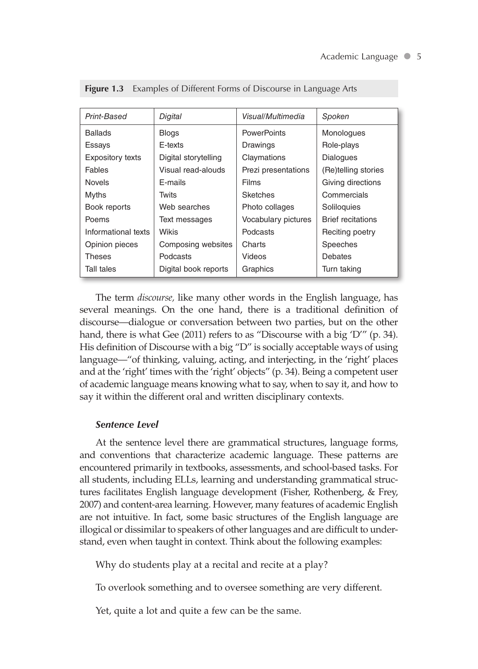| Print-Based             | Digital              | Visual/Multimedia   | Spoken                   |
|-------------------------|----------------------|---------------------|--------------------------|
| <b>Ballads</b>          | <b>Blogs</b>         | <b>PowerPoints</b>  | Monologues               |
| Essays                  | E-texts              | Drawings            | Role-plays               |
| <b>Expository texts</b> | Digital storytelling | Claymations         | Dialogues                |
| Fables                  | Visual read-alouds   | Prezi presentations | (Re)telling stories      |
| <b>Novels</b>           | E-mails              | Films               | Giving directions        |
| Myths                   | Twits                | <b>Sketches</b>     | Commercials              |
| Book reports            | Web searches         | Photo collages      | Soliloquies              |
| Poems                   | Text messages        | Vocabulary pictures | <b>Brief recitations</b> |
| Informational texts     | Wikis                | Podcasts            | Reciting poetry          |
| Opinion pieces          | Composing websites   | Charts              | <b>Speeches</b>          |
| <b>Theses</b>           | Podcasts             | Videos              | Debates                  |
| Tall tales              | Digital book reports | Graphics            | Turn taking              |

**Figure 1.3** Examples of Different Forms of Discourse in Language Arts

The term *discourse,* like many other words in the English language, has several meanings. On the one hand, there is a traditional definition of discourse—dialogue or conversation between two parties, but on the other hand, there is what Gee (2011) refers to as "Discourse with a big 'D'" (p. 34). His definition of Discourse with a big "D" is socially acceptable ways of using language—"of thinking, valuing, acting, and interjecting, in the 'right' places and at the 'right' times with the 'right' objects" (p. 34). Being a competent user of academic language means knowing what to say, when to say it, and how to say it within the different oral and written disciplinary contexts.

#### *Sentence Level*

At the sentence level there are grammatical structures, language forms, and conventions that characterize academic language. These patterns are encountered primarily in textbooks, assessments, and school-based tasks. For all students, including ELLs, learning and understanding grammatical structures facilitates English language development (Fisher, Rothenberg, & Frey, 2007) and content-area learning. However, many features of academic English are not intuitive. In fact, some basic structures of the English language are illogical or dissimilar to speakers of other languages and are difficult to understand, even when taught in context. Think about the following examples:

Why do students play at a recital and recite at a play?

To overlook something and to oversee something are very different.

Yet, quite a lot and quite a few can be the same.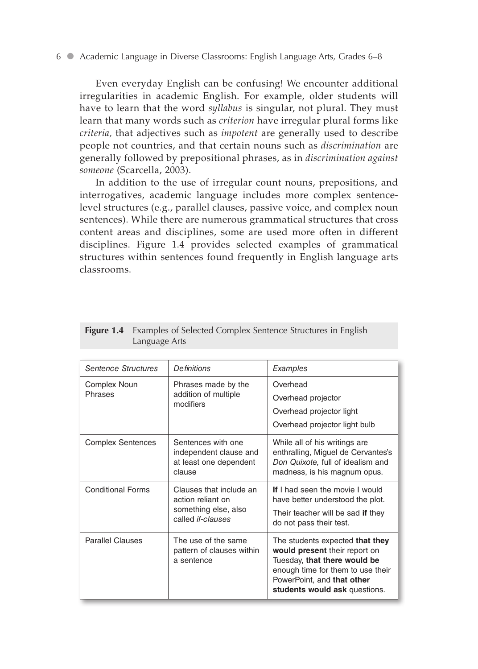Even everyday English can be confusing! We encounter additional irregularities in academic English. For example, older students will have to learn that the word *syllabus* is singular, not plural. They must learn that many words such as *criterion* have irregular plural forms like *criteria,* that adjectives such as *impotent* are generally used to describe people not countries, and that certain nouns such as *discrimination* are generally followed by prepositional phrases, as in *discrimination against someone* (Scarcella, 2003).

In addition to the use of irregular count nouns, prepositions, and interrogatives, academic language includes more complex sentencelevel structures (e.g., parallel clauses, passive voice, and complex noun sentences). While there are numerous grammatical structures that cross content areas and disciplines, some are used more often in different disciplines. Figure 1.4 provides selected examples of grammatical structures within sentences found frequently in English language arts classrooms.

| <b>Sentence Structures</b> | <b>Definitions</b>                                                                               | Examples                                                                                                                                                                                             |
|----------------------------|--------------------------------------------------------------------------------------------------|------------------------------------------------------------------------------------------------------------------------------------------------------------------------------------------------------|
| Complex Noun<br>Phrases    | Phrases made by the<br>addition of multiple<br>modifiers                                         | Overhead<br>Overhead projector<br>Overhead projector light<br>Overhead projector light bulb                                                                                                          |
| <b>Complex Sentences</b>   | Sentences with one<br>independent clause and<br>at least one dependent<br>clause                 | While all of his writings are<br>enthralling, Miguel de Cervantes's<br>Don Quixote, full of idealism and<br>madness, is his magnum opus.                                                             |
| <b>Conditional Forms</b>   | Clauses that include an<br>action reliant on<br>something else, also<br>called <i>if-clauses</i> | If I had seen the movie I would<br>have better understood the plot.<br>Their teacher will be sad if they<br>do not pass their test.                                                                  |
| <b>Parallel Clauses</b>    | The use of the same<br>pattern of clauses within<br>a sentence                                   | The students expected that they<br>would present their report on<br>Tuesday, that there would be<br>enough time for them to use their<br>PowerPoint, and that other<br>students would ask questions. |

**Figure 1.4** Examples of Selected Complex Sentence Structures in English Language Arts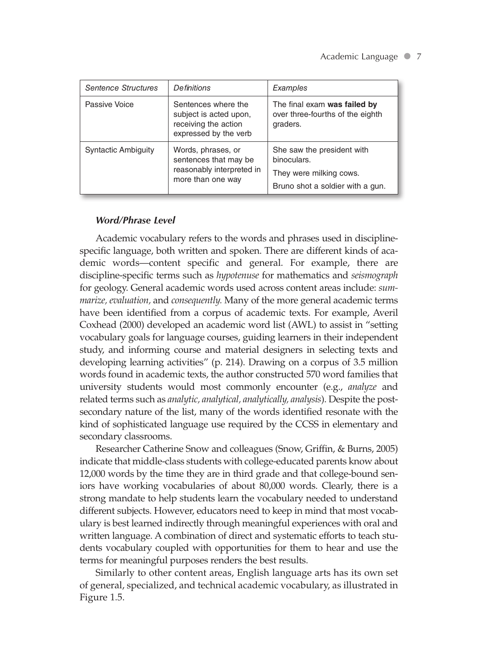| <b>Sentence Structures</b> | <b>Definitions</b>                                                                             | Examples                                                                                                 |
|----------------------------|------------------------------------------------------------------------------------------------|----------------------------------------------------------------------------------------------------------|
| Passive Voice              | Sentences where the<br>subject is acted upon,<br>receiving the action<br>expressed by the verb | The final exam was failed by<br>over three-fourths of the eighth<br>graders.                             |
| Syntactic Ambiguity        | Words, phrases, or<br>sentences that may be<br>reasonably interpreted in<br>more than one way  | She saw the president with<br>binoculars.<br>They were milking cows.<br>Bruno shot a soldier with a gun. |

#### *Word/Phrase Level*

Academic vocabulary refers to the words and phrases used in disciplinespecific language, both written and spoken. There are different kinds of academic words—content specific and general. For example, there are discipline-specific terms such as *hypotenuse* for mathematics and *seismograph* for geology. General academic words used across content areas include: *summarize, evaluation,* and *consequently.* Many of the more general academic terms have been identified from a corpus of academic texts. For example, Averil Coxhead (2000) developed an academic word list (AWL) to assist in "setting vocabulary goals for language courses, guiding learners in their independent study, and informing course and material designers in selecting texts and developing learning activities" (p. 214). Drawing on a corpus of 3.5 million words found in academic texts, the author constructed 570 word families that university students would most commonly encounter (e.g., *analyze* and related terms such as *analytic, analytical, analytically, analysis*). Despite the postsecondary nature of the list, many of the words identified resonate with the kind of sophisticated language use required by the CCSS in elementary and secondary classrooms.

Researcher Catherine Snow and colleagues (Snow, Griffin, & Burns, 2005) indicate that middle-class students with college-educated parents know about 12,000 words by the time they are in third grade and that college-bound seniors have working vocabularies of about 80,000 words. Clearly, there is a strong mandate to help students learn the vocabulary needed to understand different subjects. However, educators need to keep in mind that most vocabulary is best learned indirectly through meaningful experiences with oral and written language. A combination of direct and systematic efforts to teach students vocabulary coupled with opportunities for them to hear and use the terms for meaningful purposes renders the best results.

Similarly to other content areas, English language arts has its own set of general, specialized, and technical academic vocabulary, as illustrated in Figure 1.5.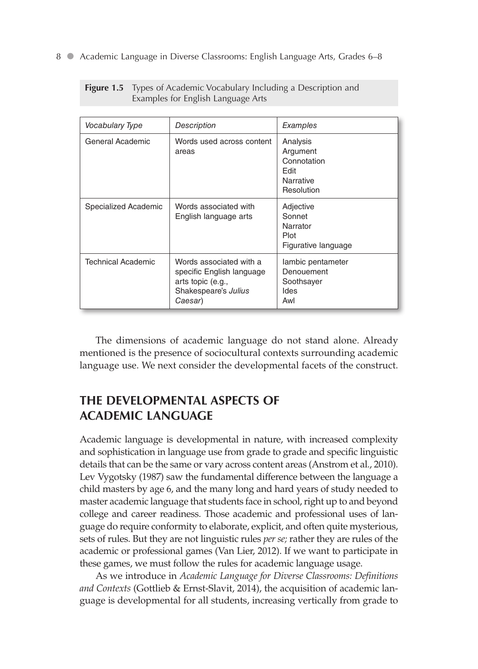| Vocabulary Type           | Description                                                                                                  | Examples                                                                      |
|---------------------------|--------------------------------------------------------------------------------------------------------------|-------------------------------------------------------------------------------|
| General Academic          | Words used across content<br>areas                                                                           | Analysis<br>Argument<br>Connotation<br><b>Edit</b><br>Narrative<br>Resolution |
| Specialized Academic      | Words associated with<br>English language arts                                                               | Adjective<br>Sonnet<br>Narrator<br>Plot<br>Figurative language                |
| <b>Technical Academic</b> | Words associated with a<br>specific English language<br>arts topic (e.g.,<br>Shakespeare's Julius<br>Caesar) | lambic pentameter<br>Denouement<br>Soothsayer<br>Ides<br>Awl                  |

| <b>Figure 1.5</b> Types of Academic Vocabulary Including a Description and |
|----------------------------------------------------------------------------|
| Examples for English Language Arts                                         |

The dimensions of academic language do not stand alone. Already mentioned is the presence of sociocultural contexts surrounding academic language use. We next consider the developmental facets of the construct.

### **THE DEVELOPMENTAL ASPECTS OF ACADEMIC LANGUAGE**

Academic language is developmental in nature, with increased complexity and sophistication in language use from grade to grade and specific linguistic details that can be the same or vary across content areas (Anstrom et al., 2010). Lev Vygotsky (1987) saw the fundamental difference between the language a child masters by age 6, and the many long and hard years of study needed to master academic language that students face in school, right up to and beyond college and career readiness. Those academic and professional uses of language do require conformity to elaborate, explicit, and often quite mysterious, sets of rules. But they are not linguistic rules *per se;* rather they are rules of the academic or professional games (Van Lier, 2012). If we want to participate in these games, we must follow the rules for academic language usage.

As we introduce in *Academic Language for Diverse Classrooms: Definitions and Contexts* (Gottlieb & Ernst-Slavit, 2014), the acquisition of academic language is developmental for all students, increasing vertically from grade to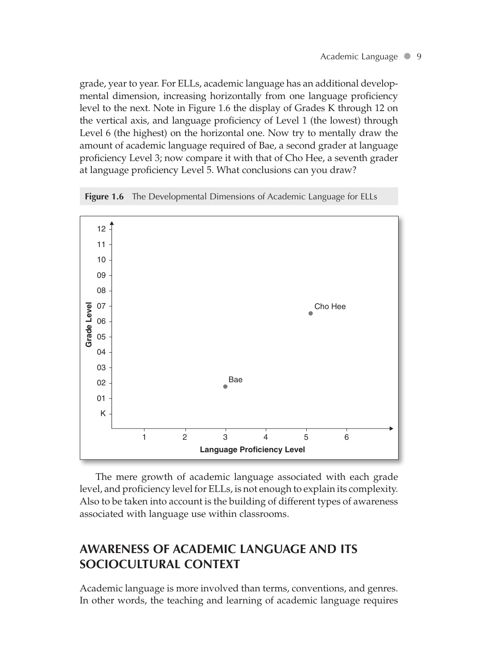grade, year to year. For ELLs, academic language has an additional developmental dimension, increasing horizontally from one language proficiency level to the next. Note in Figure 1.6 the display of Grades K through 12 on the vertical axis, and language proficiency of Level 1 (the lowest) through Level 6 (the highest) on the horizontal one. Now try to mentally draw the amount of academic language required of Bae, a second grader at language proficiency Level 3; now compare it with that of Cho Hee, a seventh grader at language proficiency Level 5. What conclusions can you draw?



**Figure 1.6** The Developmental Dimensions of Academic Language for ELLs

The mere growth of academic language associated with each grade level, and proficiency level for ELLs, is not enough to explain its complexity. Also to be taken into account is the building of different types of awareness associated with language use within classrooms.

### **AWARENESS OF ACADEMIC LANGUAGE AND ITS SOCIOCULTURAL CONTEXT**

Academic language is more involved than terms, conventions, and genres. In other words, the teaching and learning of academic language requires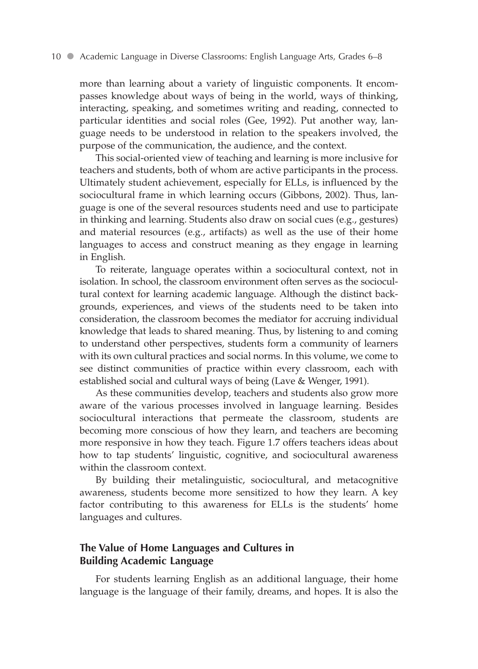more than learning about a variety of linguistic components. It encompasses knowledge about ways of being in the world, ways of thinking, interacting, speaking, and sometimes writing and reading, connected to particular identities and social roles (Gee, 1992). Put another way, language needs to be understood in relation to the speakers involved, the purpose of the communication, the audience, and the context.

This social-oriented view of teaching and learning is more inclusive for teachers and students, both of whom are active participants in the process. Ultimately student achievement, especially for ELLs, is influenced by the sociocultural frame in which learning occurs (Gibbons, 2002). Thus, language is one of the several resources students need and use to participate in thinking and learning. Students also draw on social cues (e.g., gestures) and material resources (e.g., artifacts) as well as the use of their home languages to access and construct meaning as they engage in learning in English.

To reiterate, language operates within a sociocultural context, not in isolation. In school, the classroom environment often serves as the sociocultural context for learning academic language. Although the distinct backgrounds, experiences, and views of the students need to be taken into consideration, the classroom becomes the mediator for accruing individual knowledge that leads to shared meaning. Thus, by listening to and coming to understand other perspectives, students form a community of learners with its own cultural practices and social norms. In this volume, we come to see distinct communities of practice within every classroom, each with established social and cultural ways of being (Lave & Wenger, 1991).

As these communities develop, teachers and students also grow more aware of the various processes involved in language learning. Besides sociocultural interactions that permeate the classroom, students are becoming more conscious of how they learn, and teachers are becoming more responsive in how they teach. Figure 1.7 offers teachers ideas about how to tap students' linguistic, cognitive, and sociocultural awareness within the classroom context.

By building their metalinguistic, sociocultural, and metacognitive awareness, students become more sensitized to how they learn. A key factor contributing to this awareness for ELLs is the students' home languages and cultures.

#### **The Value of Home Languages and Cultures in Building Academic Language**

For students learning English as an additional language, their home language is the language of their family, dreams, and hopes. It is also the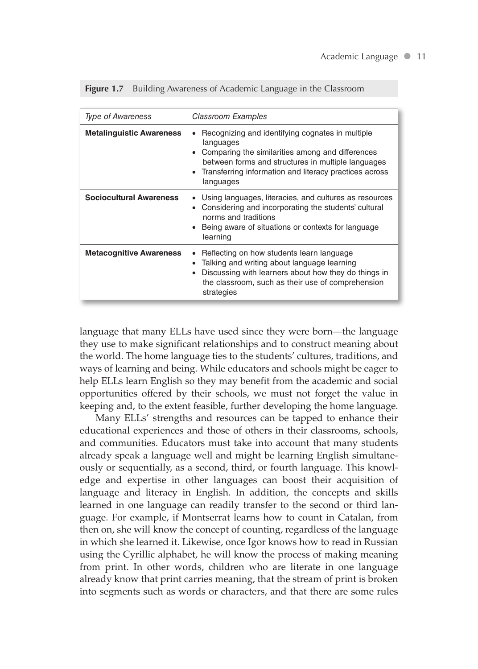| <b>Type of Awareness</b>        | <b>Classroom Examples</b>                                                                                                                                                                                                                      |
|---------------------------------|------------------------------------------------------------------------------------------------------------------------------------------------------------------------------------------------------------------------------------------------|
| <b>Metalinguistic Awareness</b> | Recognizing and identifying cognates in multiple<br>languages<br>Comparing the similarities among and differences<br>between forms and structures in multiple languages<br>Transferring information and literacy practices across<br>languages |
| <b>Sociocultural Awareness</b>  | Using languages, literacies, and cultures as resources<br>Considering and incorporating the students' cultural<br>norms and traditions<br>Being aware of situations or contexts for language<br>learning                                       |
| <b>Metacognitive Awareness</b>  | Reflecting on how students learn language<br>Talking and writing about language learning<br>Discussing with learners about how they do things in<br>the classroom, such as their use of comprehension<br>strategies                            |

Figure 1.7 Building Awareness of Academic Language in the Classroom

language that many ELLs have used since they were born—the language they use to make significant relationships and to construct meaning about the world. The home language ties to the students' cultures, traditions, and ways of learning and being. While educators and schools might be eager to help ELLs learn English so they may benefit from the academic and social opportunities offered by their schools, we must not forget the value in keeping and, to the extent feasible, further developing the home language.

Many ELLs' strengths and resources can be tapped to enhance their educational experiences and those of others in their classrooms, schools, and communities. Educators must take into account that many students already speak a language well and might be learning English simultaneously or sequentially, as a second, third, or fourth language. This knowledge and expertise in other languages can boost their acquisition of language and literacy in English. In addition, the concepts and skills learned in one language can readily transfer to the second or third language. For example, if Montserrat learns how to count in Catalan, from then on, she will know the concept of counting, regardless of the language in which she learned it. Likewise, once Igor knows how to read in Russian using the Cyrillic alphabet, he will know the process of making meaning from print. In other words, children who are literate in one language already know that print carries meaning, that the stream of print is broken into segments such as words or characters, and that there are some rules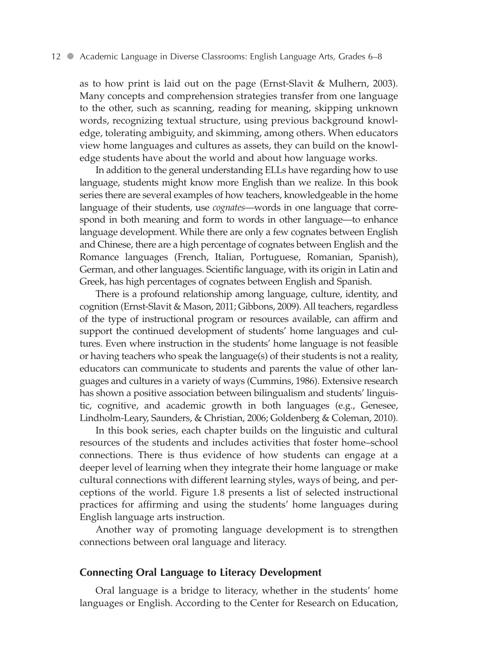as to how print is laid out on the page (Ernst-Slavit & Mulhern, 2003). Many concepts and comprehension strategies transfer from one language to the other, such as scanning, reading for meaning, skipping unknown words, recognizing textual structure, using previous background knowledge, tolerating ambiguity, and skimming, among others. When educators view home languages and cultures as assets, they can build on the knowledge students have about the world and about how language works.

In addition to the general understanding ELLs have regarding how to use language, students might know more English than we realize. In this book series there are several examples of how teachers, knowledgeable in the home language of their students, use *cognates*—words in one language that correspond in both meaning and form to words in other language—to enhance language development. While there are only a few cognates between English and Chinese, there are a high percentage of cognates between English and the Romance languages (French, Italian, Portuguese, Romanian, Spanish), German, and other languages. Scientific language, with its origin in Latin and Greek, has high percentages of cognates between English and Spanish.

There is a profound relationship among language, culture, identity, and cognition (Ernst-Slavit & Mason, 2011; Gibbons, 2009). All teachers, regardless of the type of instructional program or resources available, can affirm and support the continued development of students' home languages and cultures. Even where instruction in the students' home language is not feasible or having teachers who speak the language(s) of their students is not a reality, educators can communicate to students and parents the value of other languages and cultures in a variety of ways (Cummins, 1986). Extensive research has shown a positive association between bilingualism and students' linguistic, cognitive, and academic growth in both languages (e.g., Genesee, Lindholm-Leary, Saunders, & Christian, 2006; Goldenberg & Coleman, 2010).

In this book series, each chapter builds on the linguistic and cultural resources of the students and includes activities that foster home–school connections. There is thus evidence of how students can engage at a deeper level of learning when they integrate their home language or make cultural connections with different learning styles, ways of being, and perceptions of the world. Figure 1.8 presents a list of selected instructional practices for affirming and using the students' home languages during English language arts instruction.

Another way of promoting language development is to strengthen connections between oral language and literacy.

#### **Connecting Oral Language to Literacy Development**

Oral language is a bridge to literacy, whether in the students' home languages or English. According to the Center for Research on Education,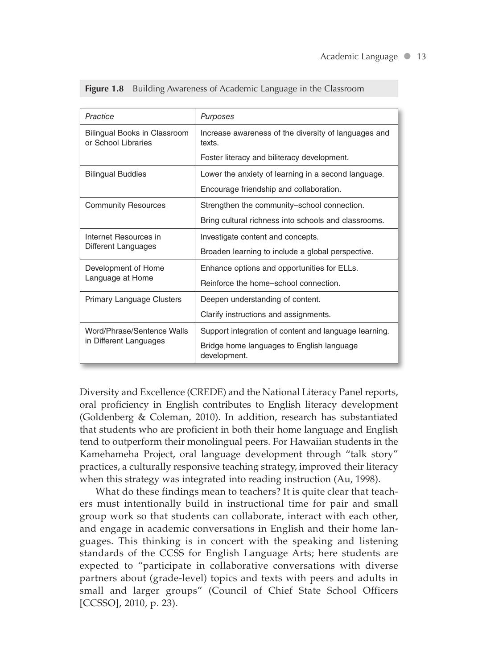| Practice                                            | Purposes                                                       |  |
|-----------------------------------------------------|----------------------------------------------------------------|--|
| Bilingual Books in Classroom<br>or School Libraries | Increase awareness of the diversity of languages and<br>texts. |  |
|                                                     | Foster literacy and biliteracy development.                    |  |
| <b>Bilingual Buddies</b>                            | Lower the anxiety of learning in a second language.            |  |
|                                                     | Encourage friendship and collaboration.                        |  |
| <b>Community Resources</b>                          | Strengthen the community-school connection.                    |  |
|                                                     | Bring cultural richness into schools and classrooms.           |  |
| Internet Resources in                               | Investigate content and concepts.                              |  |
| Different Languages                                 | Broaden learning to include a global perspective.              |  |
| Development of Home                                 | Enhance options and opportunities for ELLs.                    |  |
| Language at Home                                    | Reinforce the home-school connection.                          |  |
| <b>Primary Language Clusters</b>                    | Deepen understanding of content.                               |  |
|                                                     | Clarify instructions and assignments.                          |  |
| Word/Phrase/Sentence Walls                          | Support integration of content and language learning.          |  |
| in Different Languages                              | Bridge home languages to English language<br>development.      |  |

|  | Figure 1.8 Building Awareness of Academic Language in the Classroom |  |  |  |
|--|---------------------------------------------------------------------|--|--|--|
|--|---------------------------------------------------------------------|--|--|--|

Diversity and Excellence (CREDE) and the National Literacy Panel reports, oral proficiency in English contributes to English literacy development (Goldenberg & Coleman, 2010). In addition, research has substantiated that students who are proficient in both their home language and English tend to outperform their monolingual peers. For Hawaiian students in the Kamehameha Project, oral language development through "talk story" practices, a culturally responsive teaching strategy, improved their literacy when this strategy was integrated into reading instruction (Au, 1998).

What do these findings mean to teachers? It is quite clear that teachers must intentionally build in instructional time for pair and small group work so that students can collaborate, interact with each other, and engage in academic conversations in English and their home languages. This thinking is in concert with the speaking and listening standards of the CCSS for English Language Arts; here students are expected to "participate in collaborative conversations with diverse partners about (grade-level) topics and texts with peers and adults in small and larger groups" (Council of Chief State School Officers [CCSSO], 2010, p. 23).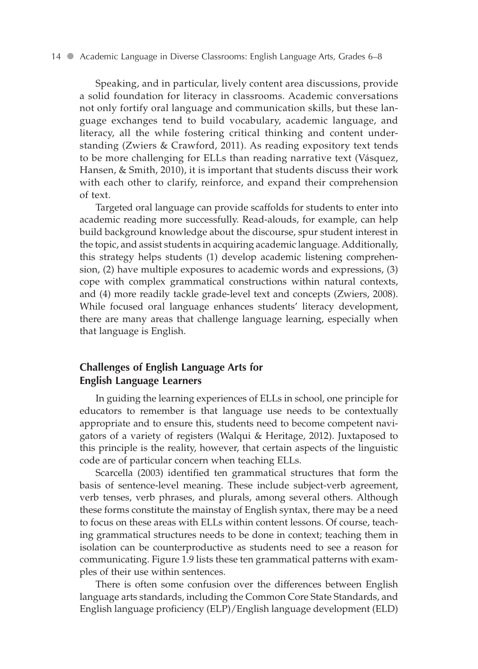Speaking, and in particular, lively content area discussions, provide a solid foundation for literacy in classrooms. Academic conversations not only fortify oral language and communication skills, but these language exchanges tend to build vocabulary, academic language, and literacy, all the while fostering critical thinking and content understanding (Zwiers & Crawford, 2011). As reading expository text tends to be more challenging for ELLs than reading narrative text (Vásquez, Hansen, & Smith, 2010), it is important that students discuss their work with each other to clarify, reinforce, and expand their comprehension of text.

Targeted oral language can provide scaffolds for students to enter into academic reading more successfully. Read-alouds, for example, can help build background knowledge about the discourse, spur student interest in the topic, and assist students in acquiring academic language. Additionally, this strategy helps students (1) develop academic listening comprehension, (2) have multiple exposures to academic words and expressions, (3) cope with complex grammatical constructions within natural contexts, and (4) more readily tackle grade-level text and concepts (Zwiers, 2008). While focused oral language enhances students' literacy development, there are many areas that challenge language learning, especially when that language is English.

#### **Challenges of English Language Arts for English Language Learners**

In guiding the learning experiences of ELLs in school, one principle for educators to remember is that language use needs to be contextually appropriate and to ensure this, students need to become competent navigators of a variety of registers (Walqui & Heritage, 2012). Juxtaposed to this principle is the reality, however, that certain aspects of the linguistic code are of particular concern when teaching ELLs.

Scarcella (2003) identified ten grammatical structures that form the basis of sentence-level meaning. These include subject-verb agreement, verb tenses, verb phrases, and plurals, among several others. Although these forms constitute the mainstay of English syntax, there may be a need to focus on these areas with ELLs within content lessons. Of course, teaching grammatical structures needs to be done in context; teaching them in isolation can be counterproductive as students need to see a reason for communicating. Figure 1.9 lists these ten grammatical patterns with examples of their use within sentences.

There is often some confusion over the differences between English language arts standards, including the Common Core State Standards, and English language proficiency (ELP)/English language development (ELD)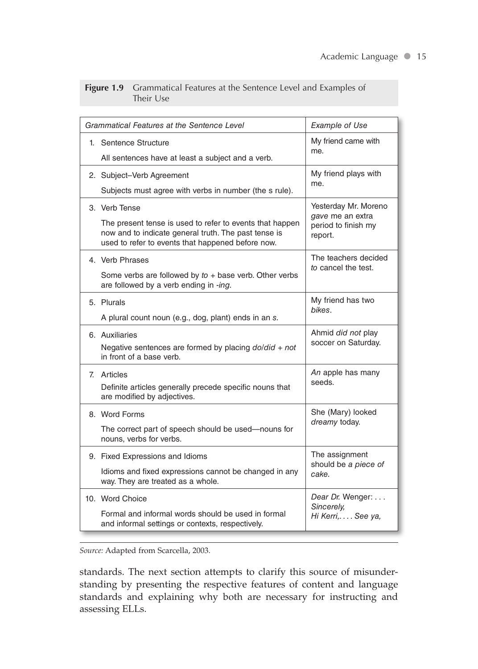|  | Grammatical Features at the Sentence Level                                                                                                                            | <b>Example of Use</b>                       |  |  |
|--|-----------------------------------------------------------------------------------------------------------------------------------------------------------------------|---------------------------------------------|--|--|
|  | 1. Sentence Structure                                                                                                                                                 | My friend came with<br>me.                  |  |  |
|  | All sentences have at least a subject and a verb.                                                                                                                     |                                             |  |  |
|  | 2. Subject-Verb Agreement                                                                                                                                             | My friend plays with                        |  |  |
|  | Subjects must agree with verbs in number (the s rule).                                                                                                                | me.                                         |  |  |
|  | 3. Verb Tense                                                                                                                                                         | Yesterday Mr. Moreno<br>gave me an extra    |  |  |
|  | The present tense is used to refer to events that happen<br>now and to indicate general truth. The past tense is<br>used to refer to events that happened before now. | period to finish my<br>report.              |  |  |
|  | 4. Verb Phrases                                                                                                                                                       | The teachers decided<br>to cancel the test. |  |  |
|  | Some verbs are followed by $to +$ base verb. Other verbs<br>are followed by a verb ending in -ing.                                                                    |                                             |  |  |
|  | 5. Plurals                                                                                                                                                            | My friend has two<br>bikes.                 |  |  |
|  | A plural count noun (e.g., dog, plant) ends in an s.                                                                                                                  |                                             |  |  |
|  | 6. Auxiliaries                                                                                                                                                        | Ahmid did not play<br>soccer on Saturday.   |  |  |
|  | Negative sentences are formed by placing $do/did + not$<br>in front of a base verb.                                                                                   |                                             |  |  |
|  | 7. Articles                                                                                                                                                           | An apple has many                           |  |  |
|  | Definite articles generally precede specific nouns that<br>are modified by adjectives.                                                                                | seeds.                                      |  |  |
|  | 8. Word Forms                                                                                                                                                         | She (Mary) looked                           |  |  |
|  | The correct part of speech should be used-nouns for<br>nouns, verbs for verbs.                                                                                        | dreamy today.                               |  |  |
|  | 9. Fixed Expressions and Idioms                                                                                                                                       | The assignment<br>should be a piece of      |  |  |
|  | Idioms and fixed expressions cannot be changed in any<br>way. They are treated as a whole.                                                                            | cake.                                       |  |  |
|  | 10. Word Choice                                                                                                                                                       | Dear Dr. Wenger:<br>Sincerely,              |  |  |
|  | Formal and informal words should be used in formal<br>and informal settings or contexts, respectively.                                                                | Hi Kerri, See ya,                           |  |  |

#### **Figure 1.9** Grammatical Features at the Sentence Level and Examples of Their Use

*Source:* Adapted from Scarcella, 2003.

standards. The next section attempts to clarify this source of misunderstanding by presenting the respective features of content and language standards and explaining why both are necessary for instructing and assessing ELLs.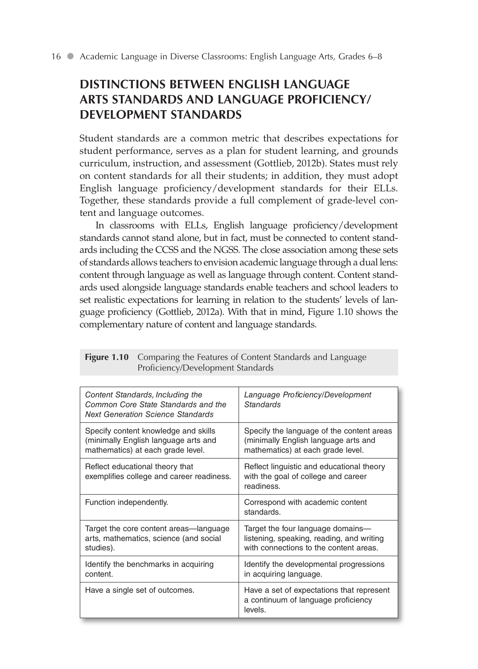### **DISTINCTIONS BETWEEN ENGLISH LANGUAGE ARTS STANDARDS AND LANGUAGE PROFICIENCY/ DEVELOPMENT STANDARDS**

Student standards are a common metric that describes expectations for student performance, serves as a plan for student learning, and grounds curriculum, instruction, and assessment (Gottlieb, 2012b). States must rely on content standards for all their students; in addition, they must adopt English language proficiency/development standards for their ELLs. Together, these standards provide a full complement of grade-level content and language outcomes.

In classrooms with ELLs, English language proficiency/development standards cannot stand alone, but in fact, must be connected to content standards including the CCSS and the NGSS. The close association among these sets of standards allows teachers to envision academic language through a dual lens: content through language as well as language through content. Content standards used alongside language standards enable teachers and school leaders to set realistic expectations for learning in relation to the students' levels of language proficiency (Gottlieb, 2012a). With that in mind, Figure 1.10 shows the complementary nature of content and language standards.

| Content Standards, Including the<br>Common Core State Standards and the<br><b>Next Generation Science Standards</b> | Language Proficiency/Development<br><b>Standards</b>                                                                     |
|---------------------------------------------------------------------------------------------------------------------|--------------------------------------------------------------------------------------------------------------------------|
| Specify content knowledge and skills<br>(minimally English language arts and<br>mathematics) at each grade level.   | Specify the language of the content areas<br>(minimally English language arts and<br>mathematics) at each grade level.   |
| Reflect educational theory that<br>exemplifies college and career readiness.                                        | Reflect linguistic and educational theory<br>with the goal of college and career<br>readiness.                           |
| Function independently.                                                                                             | Correspond with academic content<br>standards.                                                                           |
| Target the core content areas—language<br>arts, mathematics, science (and social<br>studies).                       | Target the four language domains-<br>listening, speaking, reading, and writing<br>with connections to the content areas. |
| Identify the benchmarks in acquiring<br>content.                                                                    | Identify the developmental progressions<br>in acquiring language.                                                        |
| Have a single set of outcomes.                                                                                      | Have a set of expectations that represent<br>a continuum of language proficiency<br>levels.                              |

**Figure 1.10** Comparing the Features of Content Standards and Language Proficiency/Development Standards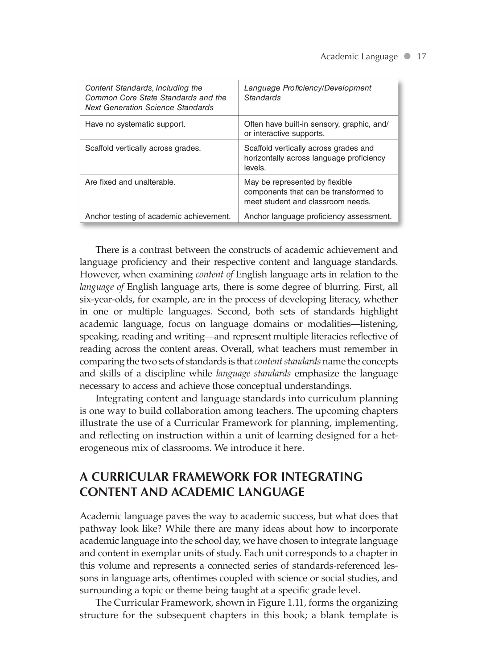| Content Standards, Including the<br>Common Core State Standards and the<br><b>Next Generation Science Standards</b> | Language Proficiency/Development<br><b>Standards</b>                                                         |
|---------------------------------------------------------------------------------------------------------------------|--------------------------------------------------------------------------------------------------------------|
| Have no systematic support.                                                                                         | Often have built-in sensory, graphic, and/<br>or interactive supports.                                       |
| Scaffold vertically across grades.                                                                                  | Scaffold vertically across grades and<br>horizontally across language proficiency<br>levels.                 |
| Are fixed and unalterable.                                                                                          | May be represented by flexible<br>components that can be transformed to<br>meet student and classroom needs. |
| Anchor testing of academic achievement.                                                                             | Anchor language proficiency assessment.                                                                      |

There is a contrast between the constructs of academic achievement and language proficiency and their respective content and language standards. However, when examining *content of* English language arts in relation to the *language of* English language arts, there is some degree of blurring. First, all six-year-olds, for example, are in the process of developing literacy, whether in one or multiple languages. Second, both sets of standards highlight academic language, focus on language domains or modalities—listening, speaking, reading and writing—and represent multiple literacies reflective of reading across the content areas. Overall, what teachers must remember in comparing the two sets of standards is that *content standards* name the concepts and skills of a discipline while *language standards* emphasize the language necessary to access and achieve those conceptual understandings.

Integrating content and language standards into curriculum planning is one way to build collaboration among teachers. The upcoming chapters illustrate the use of a Curricular Framework for planning, implementing, and reflecting on instruction within a unit of learning designed for a heterogeneous mix of classrooms. We introduce it here.

### **A CURRICULAR FRAMEWORK FOR INTEGRATING CONTENT AND ACADEMIC LANGUAGE**

Academic language paves the way to academic success, but what does that pathway look like? While there are many ideas about how to incorporate academic language into the school day, we have chosen to integrate language and content in exemplar units of study. Each unit corresponds to a chapter in this volume and represents a connected series of standards-referenced lessons in language arts, oftentimes coupled with science or social studies, and surrounding a topic or theme being taught at a specific grade level.

The Curricular Framework, shown in Figure 1.11, forms the organizing structure for the subsequent chapters in this book; a blank template is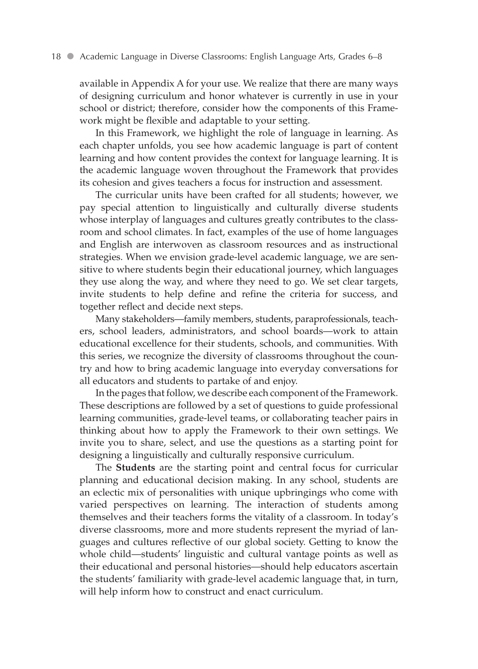available in Appendix A for your use. We realize that there are many ways of designing curriculum and honor whatever is currently in use in your school or district; therefore, consider how the components of this Framework might be flexible and adaptable to your setting.

In this Framework, we highlight the role of language in learning. As each chapter unfolds, you see how academic language is part of content learning and how content provides the context for language learning. It is the academic language woven throughout the Framework that provides its cohesion and gives teachers a focus for instruction and assessment.

The curricular units have been crafted for all students; however, we pay special attention to linguistically and culturally diverse students whose interplay of languages and cultures greatly contributes to the classroom and school climates. In fact, examples of the use of home languages and English are interwoven as classroom resources and as instructional strategies. When we envision grade-level academic language, we are sensitive to where students begin their educational journey, which languages they use along the way, and where they need to go. We set clear targets, invite students to help define and refine the criteria for success, and together reflect and decide next steps.

Many stakeholders—family members, students, paraprofessionals, teachers, school leaders, administrators, and school boards—work to attain educational excellence for their students, schools, and communities. With this series, we recognize the diversity of classrooms throughout the country and how to bring academic language into everyday conversations for all educators and students to partake of and enjoy.

In the pages that follow, we describe each component of the Framework. These descriptions are followed by a set of questions to guide professional learning communities, grade-level teams, or collaborating teacher pairs in thinking about how to apply the Framework to their own settings. We invite you to share, select, and use the questions as a starting point for designing a linguistically and culturally responsive curriculum.

The **Students** are the starting point and central focus for curricular planning and educational decision making. In any school, students are an eclectic mix of personalities with unique upbringings who come with varied perspectives on learning. The interaction of students among themselves and their teachers forms the vitality of a classroom. In today's diverse classrooms, more and more students represent the myriad of languages and cultures reflective of our global society. Getting to know the whole child—students' linguistic and cultural vantage points as well as their educational and personal histories—should help educators ascertain the students' familiarity with grade-level academic language that, in turn, will help inform how to construct and enact curriculum.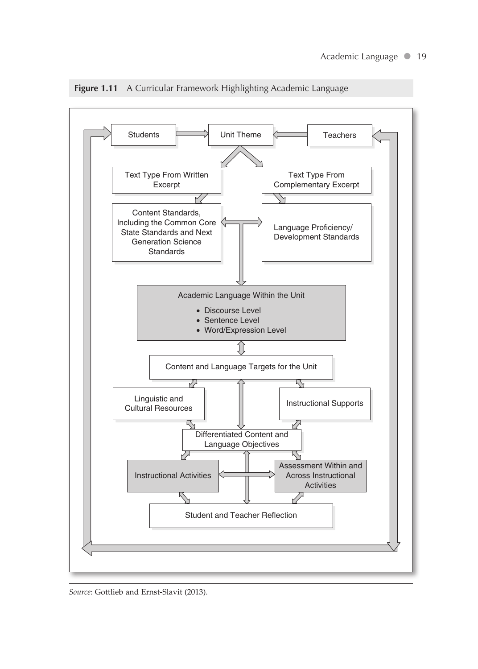

**Figure 1.11** A Curricular Framework Highlighting Academic Language

*Source*: Gottlieb and Ernst-Slavit (2013).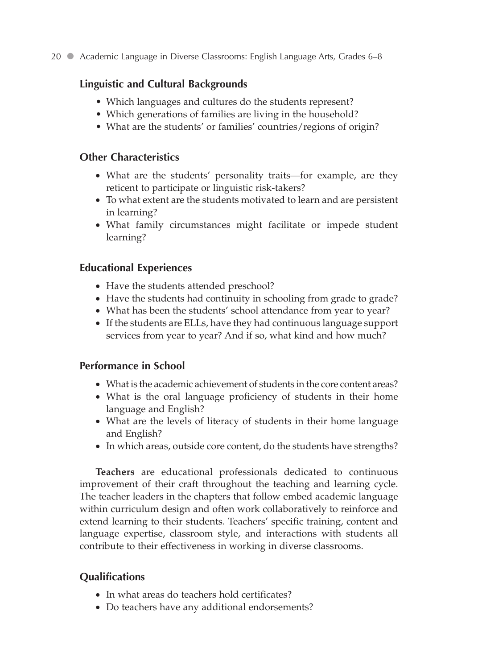#### **Linguistic and Cultural Backgrounds**

- Which languages and cultures do the students represent?
- Which generations of families are living in the household?
- What are the students' or families' countries/regions of origin?

#### **Other Characteristics**

- What are the students' personality traits—for example, are they reticent to participate or linguistic risk-takers?
- To what extent are the students motivated to learn and are persistent in learning?
- What family circumstances might facilitate or impede student learning?

#### **Educational Experiences**

- Have the students attended preschool?
- Have the students had continuity in schooling from grade to grade?
- What has been the students' school attendance from year to year?
- If the students are ELLs, have they had continuous language support services from year to year? And if so, what kind and how much?

#### **Performance in School**

- What is the academic achievement of students in the core content areas?
- What is the oral language proficiency of students in their home language and English?
- What are the levels of literacy of students in their home language and English?
- In which areas, outside core content, do the students have strengths?

**Teachers** are educational professionals dedicated to continuous improvement of their craft throughout the teaching and learning cycle. The teacher leaders in the chapters that follow embed academic language within curriculum design and often work collaboratively to reinforce and extend learning to their students. Teachers' specific training, content and language expertise, classroom style, and interactions with students all contribute to their effectiveness in working in diverse classrooms.

### **Qualifications**

- In what areas do teachers hold certificates?
- Do teachers have any additional endorsements?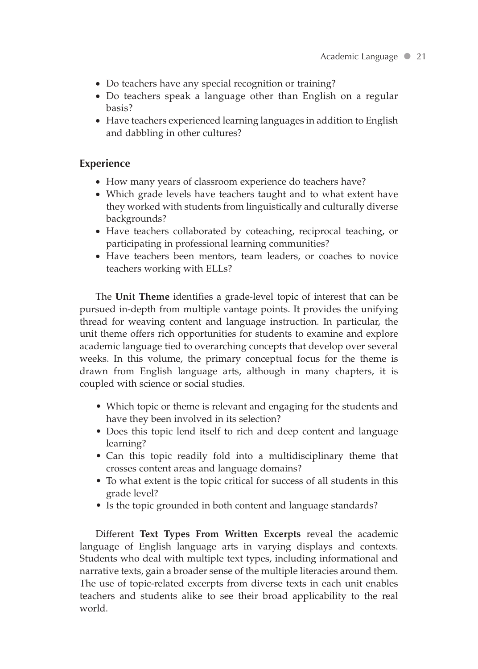- Do teachers have any special recognition or training?
- Do teachers speak a language other than English on a regular basis?
- Have teachers experienced learning languages in addition to English and dabbling in other cultures?

#### **Experience**

- How many years of classroom experience do teachers have?
- Which grade levels have teachers taught and to what extent have they worked with students from linguistically and culturally diverse backgrounds?
- Have teachers collaborated by coteaching, reciprocal teaching, or participating in professional learning communities?
- Have teachers been mentors, team leaders, or coaches to novice teachers working with ELLs?

The **Unit Theme** identifies a grade-level topic of interest that can be pursued in-depth from multiple vantage points. It provides the unifying thread for weaving content and language instruction. In particular, the unit theme offers rich opportunities for students to examine and explore academic language tied to overarching concepts that develop over several weeks. In this volume, the primary conceptual focus for the theme is drawn from English language arts, although in many chapters, it is coupled with science or social studies.

- Which topic or theme is relevant and engaging for the students and have they been involved in its selection?
- Does this topic lend itself to rich and deep content and language learning?
- Can this topic readily fold into a multidisciplinary theme that crosses content areas and language domains?
- To what extent is the topic critical for success of all students in this grade level?
- Is the topic grounded in both content and language standards?

Different **Text Types From Written Excerpts** reveal the academic language of English language arts in varying displays and contexts. Students who deal with multiple text types, including informational and narrative texts, gain a broader sense of the multiple literacies around them. The use of topic-related excerpts from diverse texts in each unit enables teachers and students alike to see their broad applicability to the real world.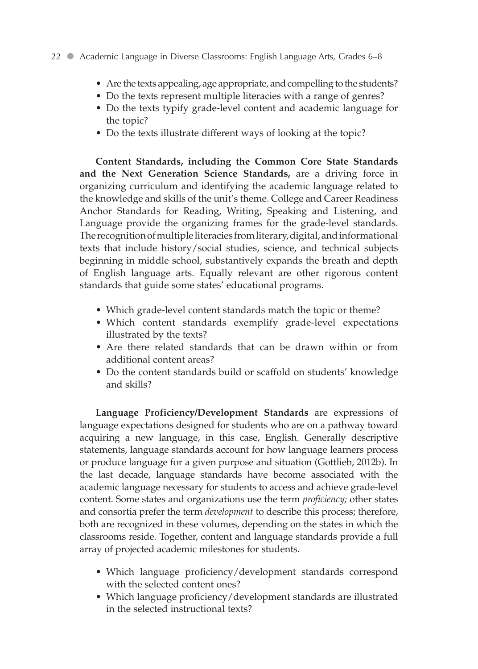- Are the texts appealing, age appropriate, and compelling to the students?
- Do the texts represent multiple literacies with a range of genres?
- Do the texts typify grade-level content and academic language for the topic?
- Do the texts illustrate different ways of looking at the topic?

**Content Standards, including the Common Core State Standards and the Next Generation Science Standards,** are a driving force in organizing curriculum and identifying the academic language related to the knowledge and skills of the unit's theme. College and Career Readiness Anchor Standards for Reading, Writing, Speaking and Listening, and Language provide the organizing frames for the grade-level standards. The recognition of multiple literacies from literary, digital, and informational texts that include history/social studies, science, and technical subjects beginning in middle school, substantively expands the breath and depth of English language arts. Equally relevant are other rigorous content standards that guide some states' educational programs.

- Which grade-level content standards match the topic or theme?
- • Which content standards exemplify grade-level expectations illustrated by the texts?
- Are there related standards that can be drawn within or from additional content areas?
- Do the content standards build or scaffold on students' knowledge and skills?

**Language Proficiency/Development Standards** are expressions of language expectations designed for students who are on a pathway toward acquiring a new language, in this case, English. Generally descriptive statements, language standards account for how language learners process or produce language for a given purpose and situation (Gottlieb, 2012b). In the last decade, language standards have become associated with the academic language necessary for students to access and achieve grade-level content. Some states and organizations use the term *proficiency;* other states and consortia prefer the term *development* to describe this process; therefore, both are recognized in these volumes, depending on the states in which the classrooms reside. Together, content and language standards provide a full array of projected academic milestones for students.

- Which language proficiency/development standards correspond with the selected content ones?
- Which language proficiency/development standards are illustrated in the selected instructional texts?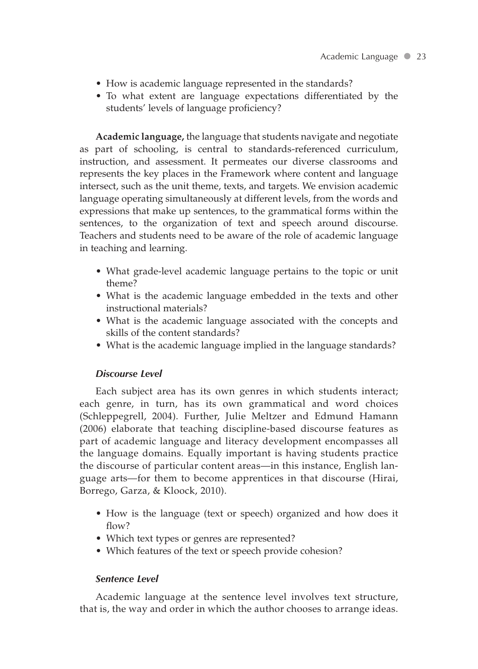- How is academic language represented in the standards?
- To what extent are language expectations differentiated by the students' levels of language proficiency?

**Academic language,** the language that students navigate and negotiate as part of schooling, is central to standards-referenced curriculum, instruction, and assessment. It permeates our diverse classrooms and represents the key places in the Framework where content and language intersect, such as the unit theme, texts, and targets. We envision academic language operating simultaneously at different levels, from the words and expressions that make up sentences, to the grammatical forms within the sentences, to the organization of text and speech around discourse. Teachers and students need to be aware of the role of academic language in teaching and learning.

- What grade-level academic language pertains to the topic or unit theme?
- What is the academic language embedded in the texts and other instructional materials?
- What is the academic language associated with the concepts and skills of the content standards?
- What is the academic language implied in the language standards?

#### *Discourse Level*

Each subject area has its own genres in which students interact; each genre, in turn, has its own grammatical and word choices (Schleppegrell, 2004). Further, Julie Meltzer and Edmund Hamann (2006) elaborate that teaching discipline-based discourse features as part of academic language and literacy development encompasses all the language domains. Equally important is having students practice the discourse of particular content areas—in this instance, English language arts—for them to become apprentices in that discourse (Hirai, Borrego, Garza, & Kloock, 2010).

- How is the language (text or speech) organized and how does it flow?
- Which text types or genres are represented?
- Which features of the text or speech provide cohesion?

#### *Sentence Level*

Academic language at the sentence level involves text structure, that is, the way and order in which the author chooses to arrange ideas.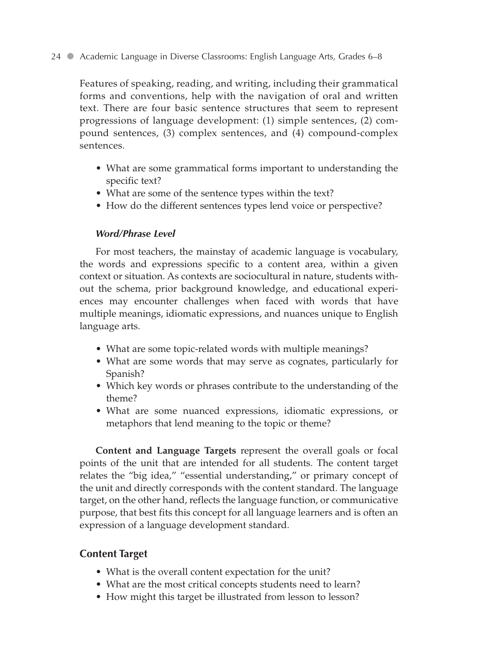Features of speaking, reading, and writing, including their grammatical forms and conventions, help with the navigation of oral and written text. There are four basic sentence structures that seem to represent progressions of language development: (1) simple sentences, (2) compound sentences, (3) complex sentences, and (4) compound-complex sentences.

- What are some grammatical forms important to understanding the specific text?
- What are some of the sentence types within the text?
- How do the different sentences types lend voice or perspective?

#### *Word/Phrase Level*

For most teachers, the mainstay of academic language is vocabulary, the words and expressions specific to a content area, within a given context or situation. As contexts are sociocultural in nature, students without the schema, prior background knowledge, and educational experiences may encounter challenges when faced with words that have multiple meanings, idiomatic expressions, and nuances unique to English language arts.

- What are some topic-related words with multiple meanings?
- What are some words that may serve as cognates, particularly for Spanish?
- Which key words or phrases contribute to the understanding of the theme?
- What are some nuanced expressions, idiomatic expressions, or metaphors that lend meaning to the topic or theme?

**Content and Language Targets** represent the overall goals or focal points of the unit that are intended for all students. The content target relates the "big idea," "essential understanding," or primary concept of the unit and directly corresponds with the content standard. The language target, on the other hand, reflects the language function, or communicative purpose, that best fits this concept for all language learners and is often an expression of a language development standard.

#### **Content Target**

- What is the overall content expectation for the unit?
- What are the most critical concepts students need to learn?
- How might this target be illustrated from lesson to lesson?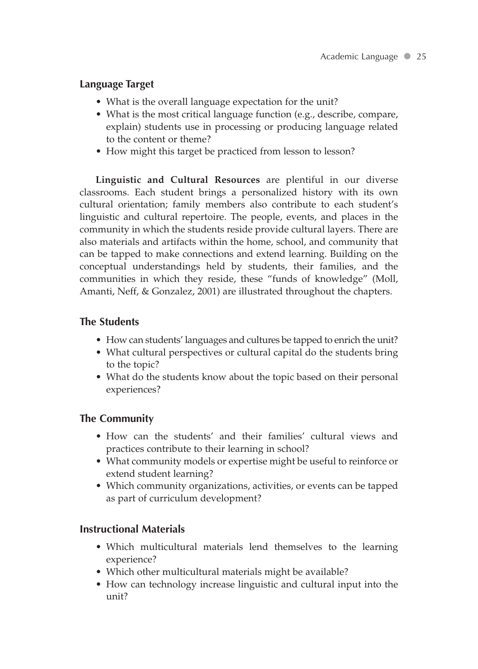#### **Language Target**

- What is the overall language expectation for the unit?
- What is the most critical language function (e.g., describe, compare, explain) students use in processing or producing language related to the content or theme?
- How might this target be practiced from lesson to lesson?

**Linguistic and Cultural Resources** are plentiful in our diverse classrooms. Each student brings a personalized history with its own cultural orientation; family members also contribute to each student's linguistic and cultural repertoire. The people, events, and places in the community in which the students reside provide cultural layers. There are also materials and artifacts within the home, school, and community that can be tapped to make connections and extend learning. Building on the conceptual understandings held by students, their families, and the communities in which they reside, these "funds of knowledge" (Moll, Amanti, Neff, & Gonzalez, 2001) are illustrated throughout the chapters.

#### **The Students**

- How can students' languages and cultures be tapped to enrich the unit?
- What cultural perspectives or cultural capital do the students bring to the topic?
- What do the students know about the topic based on their personal experiences?

#### **The Community**

- How can the students' and their families' cultural views and practices contribute to their learning in school?
- What community models or expertise might be useful to reinforce or extend student learning?
- Which community organizations, activities, or events can be tapped as part of curriculum development?

#### **Instructional Materials**

- Which multicultural materials lend themselves to the learning experience?
- Which other multicultural materials might be available?
- How can technology increase linguistic and cultural input into the unit?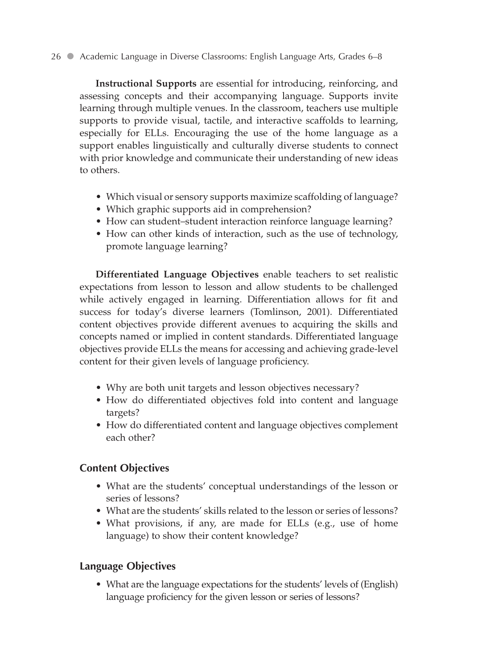**Instructional Supports** are essential for introducing, reinforcing, and assessing concepts and their accompanying language. Supports invite learning through multiple venues. In the classroom, teachers use multiple supports to provide visual, tactile, and interactive scaffolds to learning, especially for ELLs. Encouraging the use of the home language as a support enables linguistically and culturally diverse students to connect with prior knowledge and communicate their understanding of new ideas to others.

- Which visual or sensory supports maximize scaffolding of language?
- Which graphic supports aid in comprehension?
- How can student–student interaction reinforce language learning?
- How can other kinds of interaction, such as the use of technology, promote language learning?

**Differentiated Language Objectives** enable teachers to set realistic expectations from lesson to lesson and allow students to be challenged while actively engaged in learning. Differentiation allows for fit and success for today's diverse learners (Tomlinson, 2001). Differentiated content objectives provide different avenues to acquiring the skills and concepts named or implied in content standards. Differentiated language objectives provide ELLs the means for accessing and achieving grade-level content for their given levels of language proficiency.

- Why are both unit targets and lesson objectives necessary?
- How do differentiated objectives fold into content and language targets?
- How do differentiated content and language objectives complement each other?

#### **Content Objectives**

- What are the students' conceptual understandings of the lesson or series of lessons?
- What are the students' skills related to the lesson or series of lessons?
- What provisions, if any, are made for ELLs (e.g., use of home language) to show their content knowledge?

#### **Language Objectives**

• What are the language expectations for the students' levels of (English) language proficiency for the given lesson or series of lessons?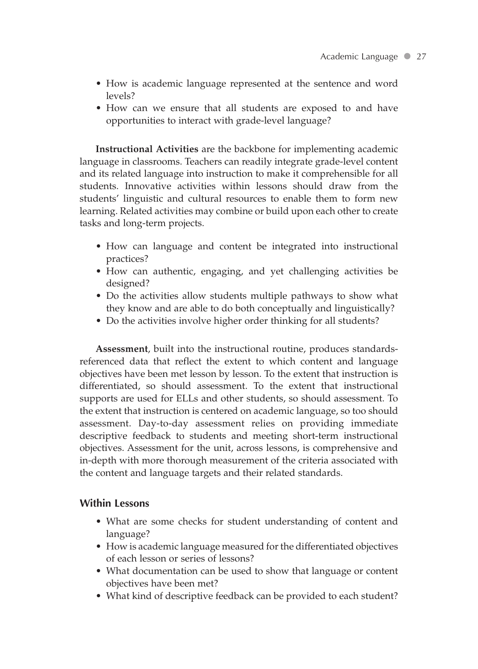- How is academic language represented at the sentence and word levels?
- How can we ensure that all students are exposed to and have opportunities to interact with grade-level language?

**Instructional Activities** are the backbone for implementing academic language in classrooms. Teachers can readily integrate grade-level content and its related language into instruction to make it comprehensible for all students. Innovative activities within lessons should draw from the students' linguistic and cultural resources to enable them to form new learning. Related activities may combine or build upon each other to create tasks and long-term projects.

- How can language and content be integrated into instructional practices?
- How can authentic, engaging, and yet challenging activities be designed?
- Do the activities allow students multiple pathways to show what they know and are able to do both conceptually and linguistically?
- Do the activities involve higher order thinking for all students?

**Assessment**, built into the instructional routine, produces standardsreferenced data that reflect the extent to which content and language objectives have been met lesson by lesson. To the extent that instruction is differentiated, so should assessment. To the extent that instructional supports are used for ELLs and other students, so should assessment. To the extent that instruction is centered on academic language, so too should assessment. Day-to-day assessment relies on providing immediate descriptive feedback to students and meeting short-term instructional objectives. Assessment for the unit, across lessons, is comprehensive and in-depth with more thorough measurement of the criteria associated with the content and language targets and their related standards.

#### **Within Lessons**

- What are some checks for student understanding of content and language?
- How is academic language measured for the differentiated objectives of each lesson or series of lessons?
- What documentation can be used to show that language or content objectives have been met?
- What kind of descriptive feedback can be provided to each student?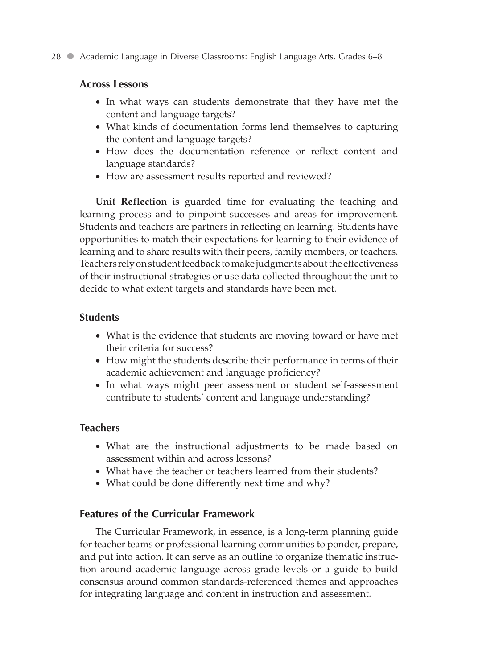#### **Across Lessons**

- In what ways can students demonstrate that they have met the content and language targets?
- What kinds of documentation forms lend themselves to capturing the content and language targets?
- How does the documentation reference or reflect content and language standards?
- How are assessment results reported and reviewed?

**Unit Reflection** is guarded time for evaluating the teaching and learning process and to pinpoint successes and areas for improvement. Students and teachers are partners in reflecting on learning. Students have opportunities to match their expectations for learning to their evidence of learning and to share results with their peers, family members, or teachers. Teachers rely on student feedback to make judgments about the effectiveness of their instructional strategies or use data collected throughout the unit to decide to what extent targets and standards have been met.

#### **Students**

- What is the evidence that students are moving toward or have met their criteria for success?
- How might the students describe their performance in terms of their academic achievement and language proficiency?
- In what ways might peer assessment or student self-assessment contribute to students' content and language understanding?

#### **Teachers**

- What are the instructional adjustments to be made based on assessment within and across lessons?
- What have the teacher or teachers learned from their students?
- What could be done differently next time and why?

#### **Features of the Curricular Framework**

The Curricular Framework, in essence, is a long-term planning guide for teacher teams or professional learning communities to ponder, prepare, and put into action. It can serve as an outline to organize thematic instruction around academic language across grade levels or a guide to build consensus around common standards-referenced themes and approaches for integrating language and content in instruction and assessment.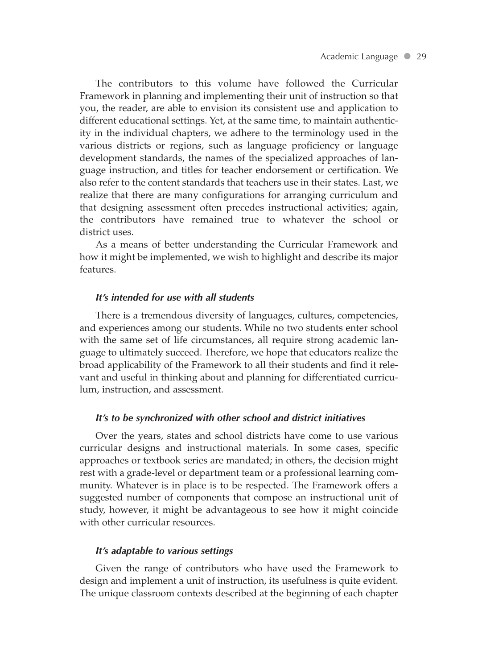The contributors to this volume have followed the Curricular Framework in planning and implementing their unit of instruction so that you, the reader, are able to envision its consistent use and application to different educational settings. Yet, at the same time, to maintain authenticity in the individual chapters, we adhere to the terminology used in the various districts or regions, such as language proficiency or language development standards, the names of the specialized approaches of language instruction, and titles for teacher endorsement or certification. We also refer to the content standards that teachers use in their states. Last, we realize that there are many configurations for arranging curriculum and that designing assessment often precedes instructional activities; again, the contributors have remained true to whatever the school or district uses.

As a means of better understanding the Curricular Framework and how it might be implemented, we wish to highlight and describe its major features.

#### *It's intended for use with all students*

There is a tremendous diversity of languages, cultures, competencies, and experiences among our students. While no two students enter school with the same set of life circumstances, all require strong academic language to ultimately succeed. Therefore, we hope that educators realize the broad applicability of the Framework to all their students and find it relevant and useful in thinking about and planning for differentiated curriculum, instruction, and assessment.

#### *It's to be synchronized with other school and district initiatives*

Over the years, states and school districts have come to use various curricular designs and instructional materials. In some cases, specific approaches or textbook series are mandated; in others, the decision might rest with a grade-level or department team or a professional learning community. Whatever is in place is to be respected. The Framework offers a suggested number of components that compose an instructional unit of study, however, it might be advantageous to see how it might coincide with other curricular resources.

#### *It's adaptable to various settings*

Given the range of contributors who have used the Framework to design and implement a unit of instruction, its usefulness is quite evident. The unique classroom contexts described at the beginning of each chapter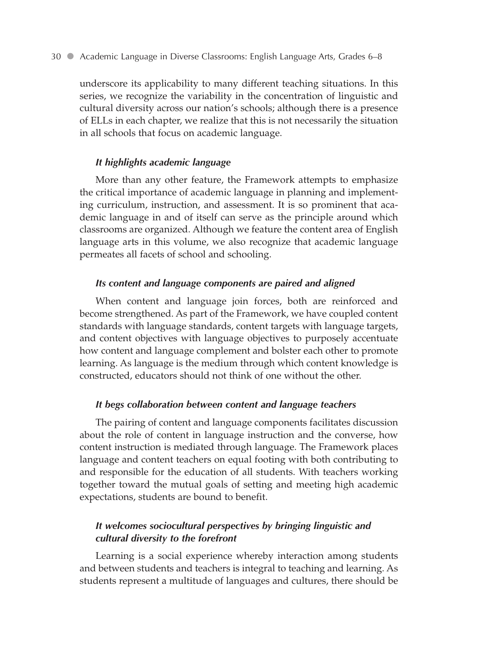underscore its applicability to many different teaching situations. In this series, we recognize the variability in the concentration of linguistic and cultural diversity across our nation's schools; although there is a presence of ELLs in each chapter, we realize that this is not necessarily the situation in all schools that focus on academic language.

#### *It highlights academic language*

More than any other feature, the Framework attempts to emphasize the critical importance of academic language in planning and implementing curriculum, instruction, and assessment. It is so prominent that academic language in and of itself can serve as the principle around which classrooms are organized. Although we feature the content area of English language arts in this volume, we also recognize that academic language permeates all facets of school and schooling.

#### *Its content and language components are paired and aligned*

When content and language join forces, both are reinforced and become strengthened. As part of the Framework, we have coupled content standards with language standards, content targets with language targets, and content objectives with language objectives to purposely accentuate how content and language complement and bolster each other to promote learning. As language is the medium through which content knowledge is constructed, educators should not think of one without the other.

#### *It begs collaboration between content and language teachers*

The pairing of content and language components facilitates discussion about the role of content in language instruction and the converse, how content instruction is mediated through language. The Framework places language and content teachers on equal footing with both contributing to and responsible for the education of all students. With teachers working together toward the mutual goals of setting and meeting high academic expectations, students are bound to benefit.

#### *It welcomes sociocultural perspectives by bringing linguistic and cultural diversity to the forefront*

Learning is a social experience whereby interaction among students and between students and teachers is integral to teaching and learning. As students represent a multitude of languages and cultures, there should be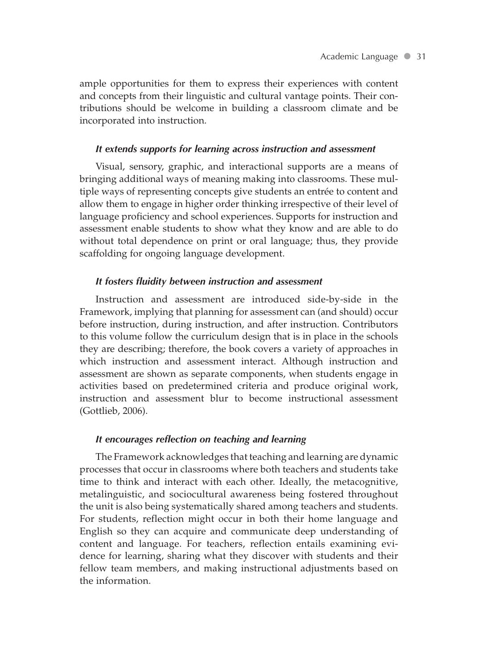ample opportunities for them to express their experiences with content and concepts from their linguistic and cultural vantage points. Their contributions should be welcome in building a classroom climate and be incorporated into instruction.

#### *It extends supports for learning across instruction and assessment*

Visual, sensory, graphic, and interactional supports are a means of bringing additional ways of meaning making into classrooms. These multiple ways of representing concepts give students an entrée to content and allow them to engage in higher order thinking irrespective of their level of language proficiency and school experiences. Supports for instruction and assessment enable students to show what they know and are able to do without total dependence on print or oral language; thus, they provide scaffolding for ongoing language development.

#### *It fosters fluidity between instruction and assessment*

Instruction and assessment are introduced side-by-side in the Framework, implying that planning for assessment can (and should) occur before instruction, during instruction, and after instruction. Contributors to this volume follow the curriculum design that is in place in the schools they are describing; therefore, the book covers a variety of approaches in which instruction and assessment interact. Although instruction and assessment are shown as separate components, when students engage in activities based on predetermined criteria and produce original work, instruction and assessment blur to become instructional assessment (Gottlieb, 2006).

#### *It encourages reflection on teaching and learning*

The Framework acknowledges that teaching and learning are dynamic processes that occur in classrooms where both teachers and students take time to think and interact with each other. Ideally, the metacognitive, metalinguistic, and sociocultural awareness being fostered throughout the unit is also being systematically shared among teachers and students. For students, reflection might occur in both their home language and English so they can acquire and communicate deep understanding of content and language. For teachers, reflection entails examining evidence for learning, sharing what they discover with students and their fellow team members, and making instructional adjustments based on the information.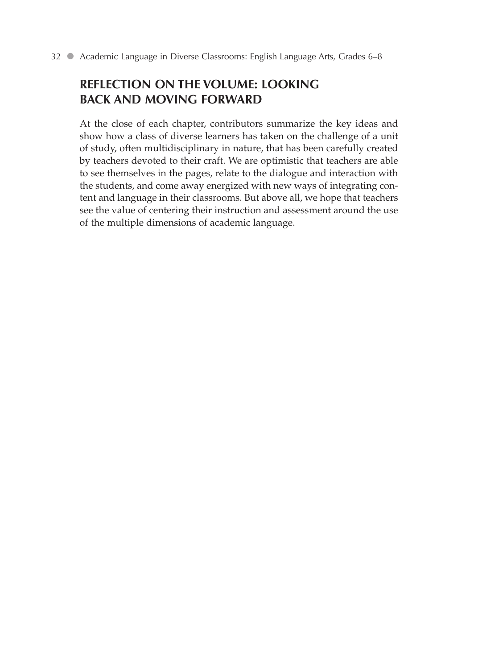### **REFLECTION ON THE VOLUME: LOOKING BACK AND MOVING FORWARD**

At the close of each chapter, contributors summarize the key ideas and show how a class of diverse learners has taken on the challenge of a unit of study, often multidisciplinary in nature, that has been carefully created by teachers devoted to their craft. We are optimistic that teachers are able to see themselves in the pages, relate to the dialogue and interaction with the students, and come away energized with new ways of integrating content and language in their classrooms. But above all, we hope that teachers see the value of centering their instruction and assessment around the use of the multiple dimensions of academic language.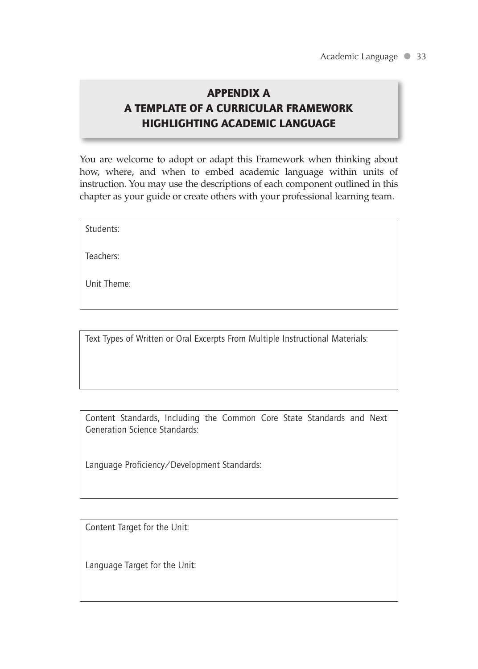### APPENDIX A A TEMPLATE OF A CURRICULAR FRAMEWORK HIGHLIGHTING ACADEMIC LANGUAGE

You are welcome to adopt or adapt this Framework when thinking about how, where, and when to embed academic language within units of instruction. You may use the descriptions of each component outlined in this chapter as your guide or create others with your professional learning team.

Students:

Teachers:

Unit Theme:

Text Types of Written or Oral Excerpts From Multiple Instructional Materials:

Content Standards, Including the Common Core State Standards and Next Generation Science Standards:

Language Proficiency/Development Standards:

Content Target for the Unit:

Language Target for the Unit: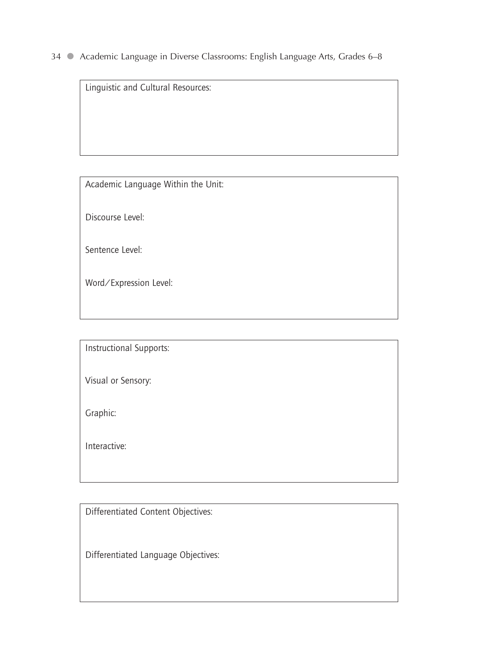Linguistic and Cultural Resources:

Academic Language Within the Unit:

Discourse Level:

Sentence Level:

Word/Expression Level:

Instructional Supports:

Visual or Sensory:

Graphic:

Interactive:

Differentiated Content Objectives:

Differentiated Language Objectives: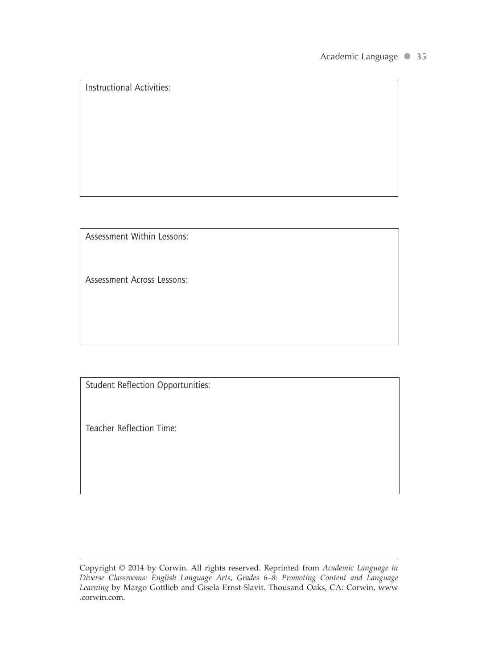Instructional Activities:

Assessment Within Lessons:

Assessment Across Lessons:

Student Reflection Opportunities:

Teacher Reflection Time:

Copyright © 2014 by Corwin. All rights reserved. Reprinted from *Academic Language in Diverse Classrooms: English Language Arts, Grades 6–8: Promoting Content and Language Learning* by Margo Gottlieb and Gisela Ernst-Slavit. Thousand Oaks, CA: Corwin, www .corwin.com.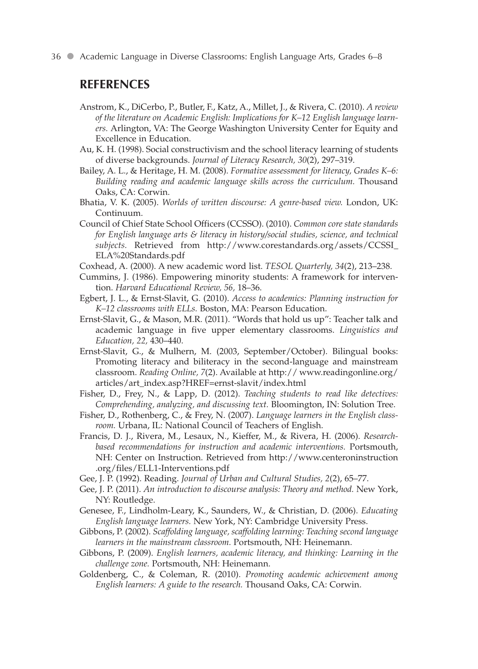#### **REFERENCES**

- Anstrom, K., DiCerbo, P., Butler, F., Katz, A., Millet, J., & Rivera, C. (2010). *A review of the literature on Academic English: Implications for K–12 English language learners.* Arlington, VA: The George Washington University Center for Equity and Excellence in Education.
- Au, K. H. (1998). Social constructivism and the school literacy learning of students of diverse backgrounds. *Journal of Literacy Research, 30*(2), 297–319.
- Bailey, A. L., & Heritage, H. M. (2008). *Formative assessment for literacy, Grades K–6: Building reading and academic language skills across the curriculum.* Thousand Oaks, CA: Corwin.
- Bhatia, V. K. (2005). *Worlds of written discourse: A genre-based view.* London, UK: Continuum.
- Council of Chief State School Officers (CCSSO). (2010). *Common core state standards for English language arts & literacy in history/social studies, science, and technical subjects.* Retrieved from http://www.corestandards.org/assets/CCSSI\_ ELA%20Standards.pdf
- Coxhead, A. (2000). A new academic word list. *TESOL Quarterly, 34*(2), 213–238.
- Cummins, J. (1986). Empowering minority students: A framework for intervention. *Harvard Educational Review, 56,* 18–36.
- Egbert, J. L., & Ernst-Slavit, G. (2010). *Access to academics: Planning instruction for K–12 classrooms with ELLs.* Boston, MA: Pearson Education.
- Ernst-Slavit, G., & Mason, M.R. (2011). "Words that hold us up": Teacher talk and academic language in five upper elementary classrooms. *Linguistics and Education, 22,* 430–440.
- Ernst-Slavit, G., & Mulhern, M. (2003, September/October). Bilingual books: Promoting literacy and biliteracy in the second-language and mainstream classroom. *Reading Online, 7*(2). Available at http:// www.readingonline.org/ articles/art\_index.asp?HREF=ernst-slavit/index.html
- Fisher, D., Frey, N., & Lapp, D. (2012). *Teaching students to read like detectives: Comprehending, analyzing, and discussing text.* Bloomington, IN: Solution Tree.
- Fisher, D., Rothenberg, C., & Frey, N. (2007). *Language learners in the English classroom.* Urbana, IL: National Council of Teachers of English.
- Francis, D. J., Rivera, M., Lesaux, N., Kieffer, M., & Rivera, H. (2006). *Researchbased recommendations for instruction and academic interventions.* Portsmouth, NH: Center on Instruction. Retrieved from http://www.centeroninstruction .org/files/ELL1-Interventions.pdf
- Gee, J. P. (1992). Reading. *Journal of Urban and Cultural Studies, 2*(2), 65–77.
- Gee, J. P. (2011). *An introduction to discourse analysis: Theory and method.* New York, NY: Routledge.
- Genesee, F., Lindholm-Leary, K., Saunders, W., & Christian, D. (2006). *Educating English language learners.* New York, NY: Cambridge University Press.
- Gibbons, P. (2002). *Scaffolding language, scaffolding learning: Teaching second language learners in the mainstream classroom.* Portsmouth, NH: Heinemann.
- Gibbons, P. (2009). *English learners, academic literacy, and thinking: Learning in the challenge zone.* Portsmouth, NH: Heinemann.
- Goldenberg, C., & Coleman, R. (2010). *Promoting academic achievement among English learners: A guide to the research.* Thousand Oaks, CA: Corwin.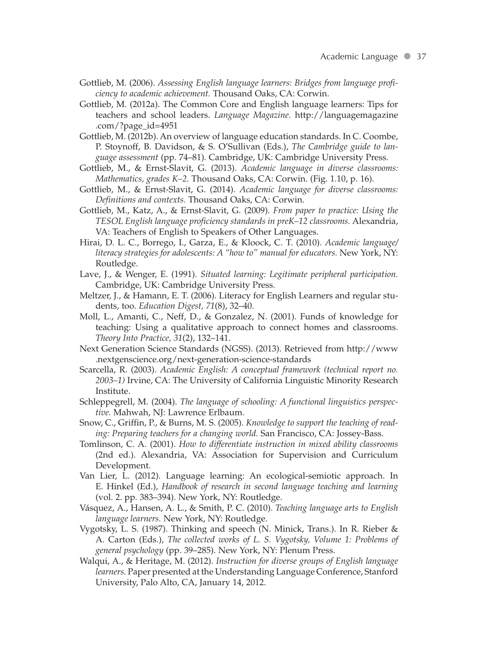- Gottlieb, M. (2006). *Assessing English language learners: Bridges from language proficiency to academic achievement.* Thousand Oaks, CA: Corwin.
- Gottlieb, M. (2012a). The Common Core and English language learners: Tips for teachers and school leaders. *Language Magazine.* http://languagemagazine .com/?page\_id=4951
- Gottlieb, M. (2012b). An overview of language education standards. In C. Coombe, P. Stoynoff, B. Davidson, & S. O'Sullivan (Eds.), *The Cambridge guide to language assessment* (pp. 74–81)*.* Cambridge, UK: Cambridge University Press.
- Gottlieb, M., & Ernst-Slavit, G. (2013). *Academic language in diverse classrooms: Mathematics, grades K–2*. Thousand Oaks, CA: Corwin. (Fig. 1.10, p. 16).
- Gottlieb, M., & Ernst-Slavit, G. (2014). *Academic language for diverse classrooms: Definitions and contexts.* Thousand Oaks, CA: Corwin.
- Gottlieb, M., Katz, A., & Ernst-Slavit, G. (2009). *From paper to practice: Using the TESOL English language proficiency standards in preK–12 classrooms.* Alexandria, VA: Teachers of English to Speakers of Other Languages.
- Hirai, D. L. C., Borrego, I., Garza, E., & Kloock, C. T. (2010). *Academic language/ literacy strategies for adolescents: A "how to" manual for educators.* New York, NY: Routledge.
- Lave, J., & Wenger, E. (1991). *Situated learning: Legitimate peripheral participation.*  Cambridge, UK: Cambridge University Press.
- Meltzer, J., & Hamann, E. T. (2006). Literacy for English Learners and regular students, too. *Education Digest, 71*(8), 32–40.
- Moll, L., Amanti, C., Neff, D., & Gonzalez, N. (2001). Funds of knowledge for teaching: Using a qualitative approach to connect homes and classrooms. *Theory Into Practice, 31*(2), 132–141.
- Next Generation Science Standards (NGSS). (2013). Retrieved from http://www .nextgenscience.org/next-generation-science-standards
- Scarcella, R. (2003). *Academic English: A conceptual framework (technical report no. 2003–1)* Irvine, CA: The University of California Linguistic Minority Research Institute.
- Schleppegrell, M. (2004). *The language of schooling: A functional linguistics perspective.* Mahwah, NJ: Lawrence Erlbaum.
- Snow, C., Griffin, P., & Burns, M. S. (2005). *Knowledge to support the teaching of reading: Preparing teachers for a changing world.* San Francisco, CA: Jossey-Bass.
- Tomlinson, C. A. (2001). *How to differentiate instruction in mixed ability classrooms* (2nd ed.). Alexandria, VA: Association for Supervision and Curriculum Development.
- Van Lier, L. (2012). Language learning: An ecological-semiotic approach. In E. Hinkel (Ed.), *Handbook of research in second language teaching and learning*  (vol. 2. pp*.* 383–394). New York, NY: Routledge.
- Vásquez, A., Hansen, A. L., & Smith, P. C. (2010). *Teaching language arts to English language learners.* New York, NY: Routledge.
- Vygotsky, L. S. (1987). Thinking and speech (N. Minick, Trans.). In R. Rieber & A. Carton (Eds.), *The collected works of L. S. Vygotsky, Volume 1: Problems of general psychology* (pp. 39–285). New York, NY: Plenum Press.
- Walqui, A., & Heritage, M. (2012). *Instruction for diverse groups of English language learners.* Paper presented at the Understanding Language Conference, Stanford University, Palo Alto, CA, January 14, 2012.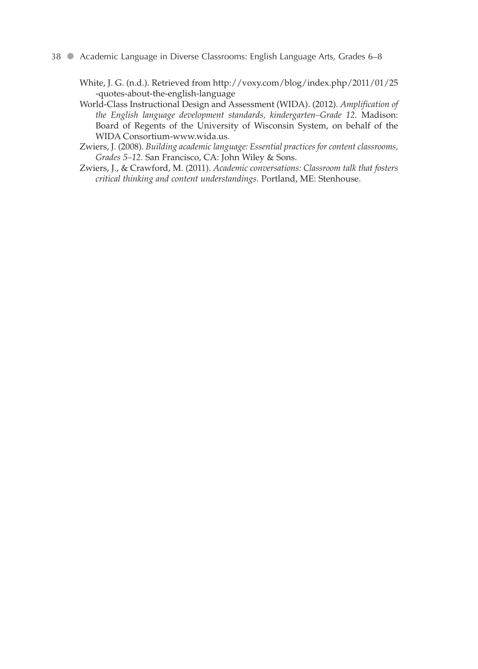- White, J. G. (n.d.). Retrieved from http://voxy.com/blog/index.php/2011/01/25 -quotes-about-the-english-language
- World-Class Instructional Design and Assessment (WIDA). (2012). *Amplification of the English language development standards, kindergarten–Grade 12.* Madison: Board of Regents of the University of Wisconsin System, on behalf of the WIDA Consortium-www.wida.us.
- Zwiers, J. (2008). *Building academic language: Essential practices for content classrooms, Grades 5–12.* San Francisco, CA: John Wiley & Sons.
- Zwiers, J., & Crawford, M. (2011). *Academic conversations: Classroom talk that fosters critical thinking and content understandings.* Portland, ME: Stenhouse.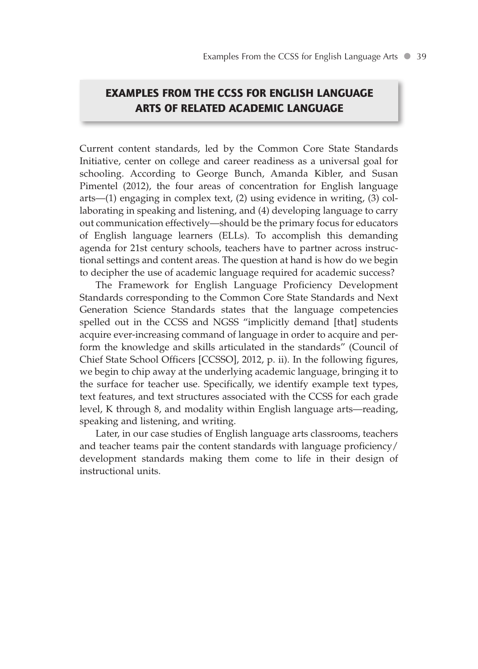### EXAMPLES FROM THE CCSS FOR ENGLISH LANGUAGE ARTS OF RELATED ACADEMIC LANGUAGE

Current content standards, led by the Common Core State Standards Initiative, center on college and career readiness as a universal goal for schooling. According to George Bunch, Amanda Kibler, and Susan Pimentel (2012), the four areas of concentration for English language arts—(1) engaging in complex text, (2) using evidence in writing, (3) collaborating in speaking and listening, and (4) developing language to carry out communication effectively—should be the primary focus for educators of English language learners (ELLs). To accomplish this demanding agenda for 21st century schools, teachers have to partner across instructional settings and content areas. The question at hand is how do we begin to decipher the use of academic language required for academic success?

The Framework for English Language Proficiency Development Standards corresponding to the Common Core State Standards and Next Generation Science Standards states that the language competencies spelled out in the CCSS and NGSS "implicitly demand [that] students acquire ever-increasing command of language in order to acquire and perform the knowledge and skills articulated in the standards" (Council of Chief State School Officers [CCSSO], 2012, p. ii). In the following figures, we begin to chip away at the underlying academic language, bringing it to the surface for teacher use. Specifically, we identify example text types, text features, and text structures associated with the CCSS for each grade level, K through 8, and modality within English language arts—reading, speaking and listening, and writing.

Later, in our case studies of English language arts classrooms, teachers and teacher teams pair the content standards with language proficiency/ development standards making them come to life in their design of instructional units.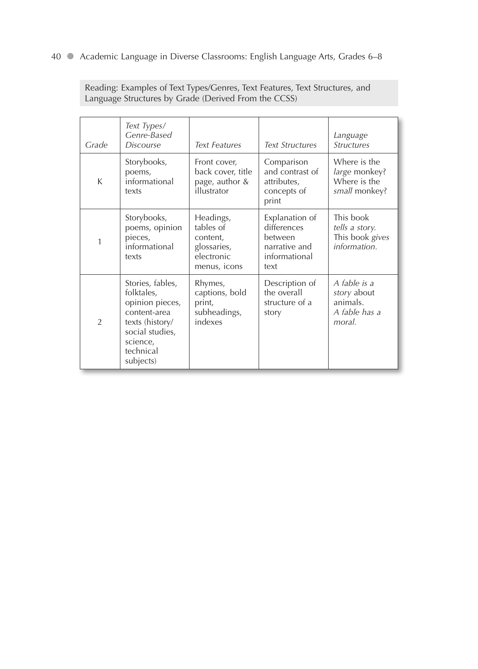| Grade          | Text Types/<br>Genre-Based<br>Discourse                                                                                                       | <b>Text Features</b>                                                            | <b>Text Structures</b>                                                             | Language<br><b>Structures</b>                                      |
|----------------|-----------------------------------------------------------------------------------------------------------------------------------------------|---------------------------------------------------------------------------------|------------------------------------------------------------------------------------|--------------------------------------------------------------------|
| K              | Storybooks,<br>poems,<br>informational<br>texts                                                                                               | Front cover,<br>back cover, title<br>page, author &<br>illustrator              | Comparison<br>and contrast of<br>attributes,<br>concepts of<br>print               | Where is the<br>large monkey?<br>Where is the<br>small monkey?     |
| 1              | Storybooks,<br>poems, opinion<br>pieces,<br>informational<br>texts                                                                            | Headings,<br>tables of<br>content,<br>glossaries,<br>electronic<br>menus, icons | Explanation of<br>differences<br>between<br>narrative and<br>informational<br>text | This book<br>tells a story.<br>This book gives<br>information.     |
| $\overline{2}$ | Stories, fables,<br>folktales,<br>opinion pieces,<br>content-area<br>texts (history/<br>social studies,<br>science,<br>technical<br>subjects) | Rhymes,<br>captions, bold<br>print,<br>subheadings,<br>indexes                  | Description of<br>the overall<br>structure of a<br>story                           | A fable is a<br>story about<br>animals.<br>A fable has a<br>moral. |

Reading: Examples of Text Types/Genres, Text Features, Text Structures, and Language Structures by Grade (Derived From the CCSS)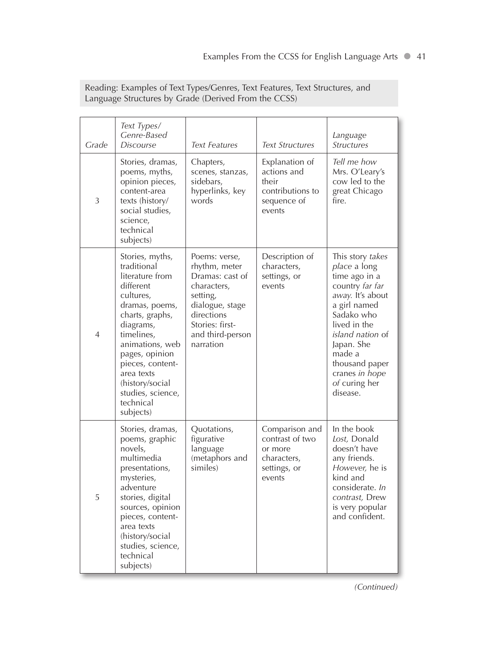| Grade          | Text Types/<br><i>Genre-Based</i><br><i>Discourse</i>                                                                                                                                                                                                                                | <b>Text Features</b>                                                                                                                                              | <b>Text Structures</b>                                                                | Language<br><b>Structures</b>                                                                                                                                                                                                                              |
|----------------|--------------------------------------------------------------------------------------------------------------------------------------------------------------------------------------------------------------------------------------------------------------------------------------|-------------------------------------------------------------------------------------------------------------------------------------------------------------------|---------------------------------------------------------------------------------------|------------------------------------------------------------------------------------------------------------------------------------------------------------------------------------------------------------------------------------------------------------|
| 3              | Stories, dramas,<br>poems, myths,<br>opinion pieces,<br>content-area<br>texts (history/<br>social studies,<br>science,<br>technical<br>subjects)                                                                                                                                     | Chapters,<br>scenes, stanzas,<br>sidebars,<br>hyperlinks, key<br>words                                                                                            | Explanation of<br>actions and<br>their<br>contributions to<br>sequence of<br>events   | Tell me how<br>Mrs. O'Leary's<br>cow led to the<br>great Chicago<br>fire.                                                                                                                                                                                  |
| $\overline{4}$ | Stories, myths,<br>traditional<br>literature from<br>different<br>cultures,<br>dramas, poems,<br>charts, graphs,<br>diagrams,<br>timelines,<br>animations, web<br>pages, opinion<br>pieces, content-<br>area texts<br>(history/social<br>studies, science,<br>technical<br>subjects) | Poems: verse,<br>rhythm, meter<br>Dramas: cast of<br>characters,<br>setting,<br>dialogue, stage<br>directions<br>Stories: first-<br>and third-person<br>narration | Description of<br>characters,<br>settings, or<br>events                               | This story takes<br><i>place</i> a long<br>time ago in a<br>country far far<br>away. It's about<br>a girl named<br>Sadako who<br>lived in the<br>island nation of<br>Japan. She<br>made a<br>thousand paper<br>cranes in hope<br>of curing her<br>disease. |
| 5              | Stories, dramas,<br>poems, graphic<br>novels,<br>multimedia<br>presentations,<br>mysteries,<br>adventure<br>stories, digital<br>sources, opinion<br>pieces, content-<br>area texts<br>(history/social<br>studies, science,<br>technical<br>subjects)                                 | Quotations,<br>figurative<br>language<br>(metaphors and<br>similes)                                                                                               | Comparison and<br>contrast of two<br>or more<br>characters,<br>settings, or<br>events | In the book<br>Lost, Donald<br>doesn't have<br>any friends.<br>However, he is<br>kind and<br>considerate. In<br>contrast, Drew<br>is very popular<br>and confident.                                                                                        |

Reading: Examples of Text Types/Genres, Text Features, Text Structures, and Language Structures by Grade (Derived From the CCSS)

*(Continued)*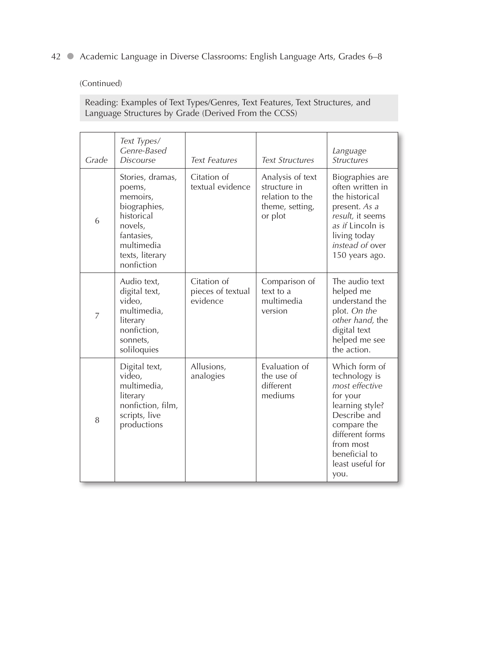#### (Continued)

Reading: Examples of Text Types/Genres, Text Features, Text Structures, and Language Structures by Grade (Derived From the CCSS)

| Grade | Text Types/<br>Genre-Based<br>Discourse                                                                                                      | <b>Text Features</b>                         | <b>Text Structures</b>                                                            | Language<br><b>Structures</b>                                                                                                                                                               |
|-------|----------------------------------------------------------------------------------------------------------------------------------------------|----------------------------------------------|-----------------------------------------------------------------------------------|---------------------------------------------------------------------------------------------------------------------------------------------------------------------------------------------|
| 6     | Stories, dramas,<br>poems,<br>memoirs,<br>biographies,<br>historical<br>novels,<br>fantasies,<br>multimedia<br>texts, literary<br>nonfiction | Citation of<br>textual evidence              | Analysis of text<br>structure in<br>relation to the<br>theme, setting,<br>or plot | Biographies are<br>often written in<br>the historical<br>present. As a<br>result, it seems<br>as if Lincoln is<br>living today<br>instead of over<br>150 years ago.                         |
| 7     | Audio text,<br>digital text,<br>video,<br>multimedia,<br>literary<br>nonfiction,<br>sonnets,<br>soliloquies                                  | Citation of<br>pieces of textual<br>evidence | Comparison of<br>text to a<br>multimedia<br>version                               | The audio text<br>helped me<br>understand the<br>plot. On the<br>other hand, the<br>digital text<br>helped me see<br>the action.                                                            |
| 8     | Digital text,<br>video,<br>multimedia,<br>literary<br>nonfiction, film,<br>scripts, live<br>productions                                      | Allusions,<br>analogies                      | Evaluation of<br>the use of<br>different<br>mediums                               | Which form of<br>technology is<br>most effective<br>for your<br>learning style?<br>Describe and<br>compare the<br>different forms<br>from most<br>beneficial to<br>least useful for<br>you. |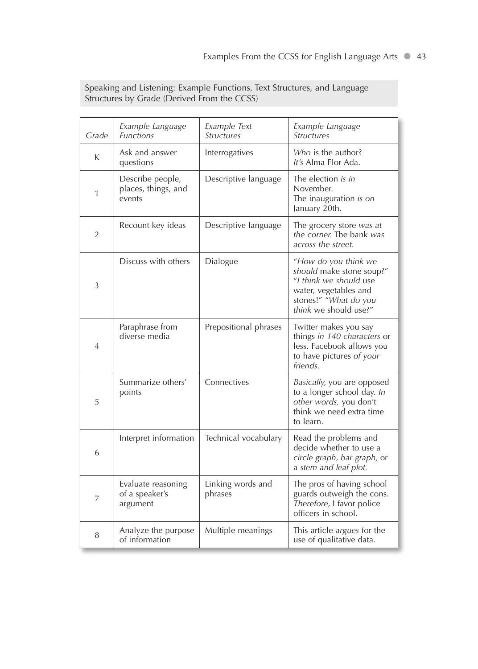Speaking and Listening: Example Functions, Text Structures, and Language Structures by Grade (Derived From the CCSS)

| Grade | Example Language<br><b>Functions</b>              | Example Text<br><b>Structures</b> | Example Language<br><b>Structures</b>                                                                                                                 |
|-------|---------------------------------------------------|-----------------------------------|-------------------------------------------------------------------------------------------------------------------------------------------------------|
| K     | Ask and answer<br>questions                       | Interrogatives                    | Who is the author?<br>It's Alma Flor Ada.                                                                                                             |
| 1     | Describe people,<br>places, things, and<br>events | Descriptive language              | The election is in<br>November.<br>The inauguration is on<br>January 20th.                                                                            |
| 2     | Recount key ideas                                 | Descriptive language              | The grocery store was at<br>the corner. The bank was<br>across the street.                                                                            |
| 3     | Discuss with others                               | Dialogue                          | "How do you think we<br>should make stone soup?"<br>"I think we should use<br>water, vegetables and<br>stones!" "What do you<br>think we should use?" |
| 4     | Paraphrase from<br>diverse media                  | Prepositional phrases             | Twitter makes you say<br>things in 140 characters or<br>less. Facebook allows you<br>to have pictures of your<br>friends.                             |
| 5     | Summarize others'<br>points                       | Connectives                       | Basically, you are opposed<br>to a longer school day. In<br>other words, you don't<br>think we need extra time<br>to learn.                           |
| 6     | Interpret information                             | Technical vocabulary              | Read the problems and<br>decide whether to use a<br>circle graph, bar graph, or<br>a stem and leaf plot.                                              |
| 7     | Evaluate reasoning<br>of a speaker's<br>argument  | Linking words and<br>phrases      | The pros of having school<br>guards outweigh the cons.<br>Therefore, I favor police<br>officers in school.                                            |
| 8     | Analyze the purpose<br>of information             | Multiple meanings                 | This article argues for the<br>use of qualitative data.                                                                                               |